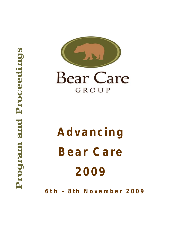

# **A d v a n cing**  Bear Care **2 009**

**6 t h – 8 t h N o v e m b e r 2 009**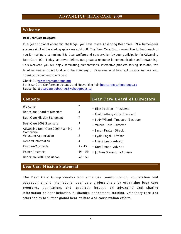#### **Welcome**

**Dear Bear Care Delegates**,

In a year of global economic challenge, you have made Advancing Bear Care '09 a tremendous success right at the starting gate – we sold out! The Bear Care Group would like to thank each of you for making a commitment to bear welfare and conservation by your participation in Advancing Bear Care '09. Today, as never before, our greatest resource is communication and networking. This weekend you will enjoy stimulating presentations, interactive problem-solving sessions, two fabulous venues, good food, and the company of 85 international bear enthusiasts just like you. Thank you again – now let's do it!

Check Out [www.bearcaregroup.org](http://www.bearcaregroup.org)

For Bear Care Conference Updates and Networking Join [bearcare@yahoogroups.ca](mailto:bearcare@yahoogroups.ca) Subscribe at [bearcare-subscribe@yahoogroups.ca](mailto:bearcare-subscribe@yahoogroups.ca)

| <b>Contents</b>                    |           | <b>Bear Care Board of Directors</b>  |
|------------------------------------|-----------|--------------------------------------|
| Welcome                            | 2         |                                      |
|                                    |           | • Fise Poulsen - President           |
| Bear Care Board of Directors       | 2         |                                      |
|                                    | 2         | • Gail Hedberg - Vice President      |
| <b>Bear Care Mission Statement</b> |           | • Judy Willard - Treasurer/Secretary |
| Bear Care 2009 Sponsors            | 3         | • Valerie Hare - Director            |
| Advancing Bear Care 2009 Planning  | 3         |                                      |
| Committee                          |           | • Jason Pratte - Director            |
| <b>Volunteer Appreciation</b>      | 3         | • Lydia Fogal - Advisor              |
|                                    |           |                                      |
| <b>General Information</b>         | 4         | • Lisa Stoner - Advisor              |
| Program/Abstracts                  | $5 - 45$  | • Kurt Stoner - Advisor              |
| <b>Poster Abstracts</b>            | 46 - 50   |                                      |
|                                    |           | • JoAnne Simerson - Advisor          |
| Bear Care 2009 Evaluation          | $52 - 53$ |                                      |

#### **Bear Care Mission Statement**

The Bear Care Group creates and enhances communication, cooperation and education among international bear care professionals by organizing bear care programs, publications and resources focused on advancing and sharing information on bear behavior, husbandry, enrichment, training, veterinary care and other topics to further global bear welfare and conservation efforts.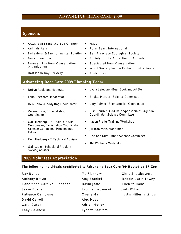#### **Sponsors**

- AAZK San Francisco Zoo Chapter
- Animals Asia
- Behavioral & Environmental Solutions
- BenKilham.com
- Bornean Sun Bear Conservation Organization
- Half Moon Bay Brewery
- Mazuri
- Polar Bears International
	- San Francisco Zoological Society
- Society for the Protection of Animals
- Spectacled Bear Conservation
- World Society for the Protection of Animals
- ZooMom.com

#### **Advancing Bear Care 2009 Planning Team**

- Robyn Appleton, Moderator
- John Beecham, Moderator
- Deb Cano Goody Bag Coordinator
- Valerie Hare, EE Workshop Coordinator
- Gail Hedberg, Co-Chair, On-Site Coordinator, Registration Coordinator, Science Committee, Proceedings Editor
- Kent Hedberg IT Technical Advisor
- Gail Laule Behavioral Problem Solving Advisor
- Lydia Lefebvre Bear Book and Art Den
- Brigitte Mercier Science Committee
- Lory Palmer Silent Auction Coordinator
- Else Poulsen, Co-Chair, Sponsorships, Agenda Coordinator, Science Committee
- Jason Pratte, Training Workshop
- Jill Robinson, Moderator
- Lisa and Kurt Stoner, Science Committee
- Bill Winhall Moderator

#### **2009 Volunteer Appreciation**

**The following individuals contributed to Advancing Bear Care '09 Hosted by SF Zoo** 

| Ray Bandar                  | Mo Flannery          | Chris Shuttlesworth         |
|-----------------------------|----------------------|-----------------------------|
| Anthony Brown               | Amy Frankel          | Debbie Marin-Towey          |
| Robert and Carolyn Buchanan | David Jaffe          | Ellen Williams              |
| Jesse Bushell               | Jacqueline Jencek    | Judy Willard                |
| Patience Campione           | Cherie Mann          | Justin Miller (T-shirt art) |
| David Carroll               | Alec Moss            |                             |
| Carol Casey                 | <b>Adrian Mutlow</b> |                             |
| <b>Tony Colonese</b>        | Lynette Staffero     |                             |

- - - -
			-
		-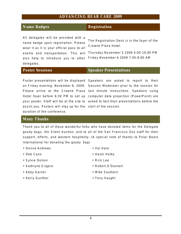#### **Name Badges** Registration

All delegates will be provided with a name badge upon registration. Please wear it as it is your official pass to all events and transportation. This will also help to introduce you to other delegates.

The Registration Desk is in the foyer of the Crowne Plaza Hotel.

Thursday November 5 2009 4:00-10:00 PM Friday November 6 2009 7:00-8:00 AM

#### **Poster Sessions Speaker Presentations**

assist you. Posters will stay up for the start of the session. duration of the conference.

Poster presentations will be displayed Speakers are asked to report to their on Friday evening, November 6, 2009. *Session Moderator* prior to the session for Please arrive at the Crowne Plaza last minute instructions. Speakers using Hotel foyer before 6:30 PM to set up computer data projection (PowerPoint) are your poster. Staff will be at the site to asked to test their presentations before the

#### **Many Thanks**

Thank you to all of those wonderful folks who have donated items for the Delegate goody bags, the Silent Auction, and to all of the San Francisco Zoo staff for their support, efforts, and western hospitality. (A special note of thanks to Polar Bears International for donating the *goody* bag)

- Donna Andrews
- Deb Cano
- Sylvia Dolson
- Kathryne Erigero
- Abby Garner
- Kerry Gunther
- Val Hare
- Hazel Holby
- Rick Lee
- Robert O'Donnell
- Mike Southern
- Tony Vaught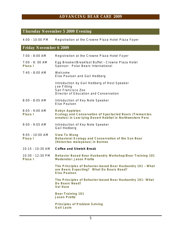## **Thursday November 5 2009 Evening**

| $4:00 - 10:00$ PM             | Registration at the Crowne Plaza Hotel Plaza Foyer                                                                                      |
|-------------------------------|-----------------------------------------------------------------------------------------------------------------------------------------|
| <b>Friday November 6 2009</b> |                                                                                                                                         |
| 7:00 - 8:00 AM                | Registration at the Crowne Plaza Hotel Foyer                                                                                            |
| 7:00 - 8:00 AM<br>Plaza I     | Egg Breaker/Breakfast Buffet - Crowne Plaza Hotel<br>Sponsor: Polar Bears International                                                 |
| $7:40 - 8:00$ AM              | Welcome<br>Else Poulsen and Gail Hedberg                                                                                                |
|                               | Introduction by Gail Hedberg of Host Speaker<br>Joe Fitting<br>San Francisco Zoo<br>Director of Education and Conservation              |
| $8:00 - 8:05$ AM              | Introduction of Key Note Speaker<br>Else Poulsen                                                                                        |
| $8:05 - 9:00$ AM<br>Plaza I   | Robyn Appleton<br>Ecology and Conservation of Spectacled Bears (Tremarctos<br>ornatus) in Low-lying Desert Habitat in Northwestern Peru |
| $9:00 - 9:05$ AM              | Introduction of Key Note Speaker<br>Gail Hedberg                                                                                        |
| $9:05 - 10:00$ AM<br>Plaza I  | Siew Te Wong<br>Behavioral Ecology and Conservation of the Sun Bear<br>(Helarctos malayanus) in Borneo                                  |
| 10:15 - 10:30 AM              | Coffee and Stretch Break                                                                                                                |
| 10:30 - 12:30 PM<br>Plaza I   | Behavior Based Bear Husbandry Workshop/Bear Training 101<br>Moderator: Jason Pratte                                                     |
|                               | The Principles of Behavior-based Bear Husbandry 101 - What<br>are Bears Expecting? What Do Bears Need?<br>Else Poulsen                  |
|                               | The Principles of Behavior-based Bear Husbandry 101- What<br>Do Bears Need?<br>Val Hare                                                 |
|                               | <b>Bear Training 101</b><br><b>Jason Pratte</b>                                                                                         |
|                               | Principles of Problem Solving<br><b>Gail Laule</b>                                                                                      |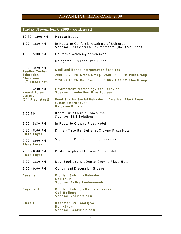## **Friday November 6 2009 - continued**

| $12:30 - 1:00$ PM                                                                                   | Meet at Buses                                                                                                                                                |  |  |  |
|-----------------------------------------------------------------------------------------------------|--------------------------------------------------------------------------------------------------------------------------------------------------------------|--|--|--|
| $1:00 - 1:30$ PM                                                                                    | In Route to California Academy of Sciences<br>Sponsor: Behavioral & Environmental (B&E) Solutions                                                            |  |  |  |
| $1:30 - 5:00$ PM                                                                                    | California Academy of Sciences                                                                                                                               |  |  |  |
|                                                                                                     | Delegates Purchase Own Lunch                                                                                                                                 |  |  |  |
| $2:00 - 3:20$ PM<br><b>Pauline Tusher</b><br>Education<br>Classroom<br>(3 <sup>rd</sup> Floor East) | <b>Skull and Bones Interpretation Sessions</b><br>2:00 - 2:20 PM Green Group 2:40 - 3:00 PM Pink Group<br>2:20 - 2:40 PM Red Group 3:00 - 3:20 PM Blue Group |  |  |  |
| $3:30 - 4:30$ PM<br><b>Hearst Forum</b><br>Gallery                                                  | Environment, Morphology and Behavior<br><b>Speaker Introduction: Else Poulsen</b>                                                                            |  |  |  |
| $(2nd$ Floor West)                                                                                  | Food Sharing Social Behavior in American Black Bears<br>(Ursus americanus)<br>Benjamin Kilham                                                                |  |  |  |
| 5:00 PM                                                                                             | Board Bus at Music Concourse<br>Sponsor: B&E Solutions                                                                                                       |  |  |  |
| $5:00 - 5:30$ PM                                                                                    | In Route to Crowne Plaza Hotel                                                                                                                               |  |  |  |
| $6:30 - 8:00$ PM<br>Plaza Foyer                                                                     | Dinner- Taco Bar Buffet at Crowne Plaza Hotel                                                                                                                |  |  |  |
| $7:00 - 8:00$ PM<br>Plaza Foyer                                                                     | Sign up for Problem Solving Sessions                                                                                                                         |  |  |  |
| $7:00 - 8:00$ PM<br>Plaza Foyer                                                                     | Poster Display at Crowne Plaza Hotel                                                                                                                         |  |  |  |
| 7:00 - 8:30 PM                                                                                      | Bear Book and Art Den at Crowne Plaza Hotel                                                                                                                  |  |  |  |
| 8:00 - 9:00 PM                                                                                      | <b>Concurrent Discussion Groups</b>                                                                                                                          |  |  |  |
| Bayside I                                                                                           | Problem Solving - Behavior<br>Gail Laule<br><b>Sponsor: Active Environments</b>                                                                              |  |  |  |
| <b>Bayside II</b>                                                                                   | Problem Solving - Neonatal Issues<br>Gail Hedberg<br>Sponsor: Zoomom.com                                                                                     |  |  |  |
| Plaza I                                                                                             | Bear Man DVD and Q&A<br><b>Ben Kilham</b><br>Sponsor: Benkilham.com                                                                                          |  |  |  |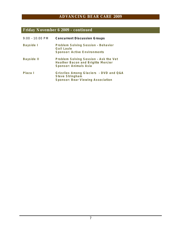## **Friday November 6 2009 - continued**

| $9:00 - 10:00$ PM | <b>Concurrent Discussion Groups</b>                                                                  |
|-------------------|------------------------------------------------------------------------------------------------------|
| Bayside I         | Problem Solving Session - Behavior<br>Gail Laule<br><b>Sponsor: Active Environments</b>              |
| <b>Bayside II</b> | Problem Solving Session - Ask the Vet<br>Heather Bacon and Brigitte Mercier<br>Sponsor: Animals Asia |
| Plaza I           | Grizzlies Among Glaciers - DVD and Q&A<br>Steve Stringham<br>Sponsor: Bear Viewing Association       |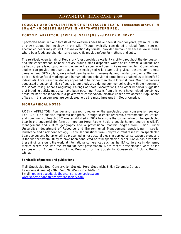#### **ECOLOGY AND CONSERVATION OF SPECTACLED BEARS (***Tremarctos ornatus***) IN LOW-LYING DESERT HABITAT IN NORTH-WESTERN PERU**

#### **ROBYN D. APPLETON, JAVIER G. VALLEJOS and KAREN V. NOYCE**

Spectacled bears in cloud forests of the western Andes have been studied for years, yet much is still unknown about their ecology in the wild. Though typically considered a cloud forest species, spectacled bears may do well in low-elevation dry forests, provided human presence is low in areas where bear foods are abundant and steep cliffs provide refuge for mothers and cubs.

The relatively open terrain of Peru's dry forest provides excellent visibility throughout the dry season, and the concentration of bear activity around small dispersed water holes provide a unique and perhaps unparalleled opportunity to observe the spectacled bear in its natural habitat. Observational studies can provide important data on the ecology of wild bears.Using visual observation, remote cameras, and GPS collars, we studied bear behavior, movements, and habitat use over a 20-month period. Unique facial markings and human-tolerant behavior of some bears enabled us to identify 32 individuals. Local seasonal density appeared to be higher than cloud forest studies. Our observations suggested a seasonal influx of bears to our study area during summer coinciding with the ripening of the sapote fruit *(Capparis angulata*). Pairings of bears, vocalizations, and other behavior suggested that breeding activity may also have been occurring. Results from this work have helped identify key areas for bear conservation in a government conservation initiative under development. Populations of bears in this unique area are considered to be the most threatened in South America.

#### **BIOGRAPHICAL NOTES**

ROBYN APPLETON: Founder and research director for the spectacled bear conservation society-Peru (SBC), a Canadian registered non-profit. Through scientific research, environmental education, and community outreach SBC was established in 2007 to ensure the conservation of the spectacled bear in the equatorial dry forest of northern Peru. Robyn holds a double honors degree in wildlife management and culture geography and a professional masters degree from Simon Fraser University's' department of Resource and Environmental Management, specializing in spatial landscape and black bear ecology. Particular questions from Robyn's current research on spectacled bear ecology and behavior will be presented in her doctoral thesis in applied conservation biology and is the first behavioral study to have been conducted on wild spectacled bears. Robyn has presented these findings around the world at international conferences such as the IBA conference in Monterrey Mexico where she won the award for best presentation. More recent presentations were at the symposium on Andean Bears, Lima, Peru and for the Society for Conservation Biology, Beijing, China.

**For details of projects and publications**

Mail**:** Spectacled Bear Conservation Society- Peru**,** Squamish, British Columbia Canada Telephone (Canada) 778-855-2670 (Peru) 51-74-699870 Email: [robyn@specdtacledbearconservationsociety.com](mailto:robyn@specdtacledbearconservationsociety.com) [www.spectacledbearconservationsociety.com](http://www.spectacledbearconservationsociety.com)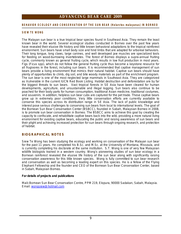#### BEHAVIOR ECOLOGY AND CONSERVATION OF THE SUN BEAR (Helarctos malayanus) IN BORNEO

#### **S IE W TE W ON G**

The Malayan sun bear is a true tropical bear species found in Southeast Asia. They remain the least known bear in the world. Several ecological studies conducted in Borneo over the past few years have revealed their elusive life history and little known behavioral adaptations to the tropical rainforest environment. Sun bears have small body size and hind limbs that are adapted for arboreal behaviors. Their long tongue, long claws, large canines, and well developed jaw muscles are specialized tools for feeding on wood-burrowing invertebrates. The forest of Borneo displays a supra-annual fruiting cycle, commonly known as general fruiting cycle, which results in low fruit production in most years. Figs (*Ficus* spp), which do not follow the general fruiting cycle thus become a keystone resource for all frugivores in the forest, including sun bears. It is recommended that captive management of sun bears provide a living environment that mimics their natural habitat. Captive sun bears should have plenty of opportunities to climb, dig soil, and bite woody materials as part of the enrichment program. The sun bear is one of the most neglected large mammals in Southeast Asia. They are categorized as Vulnerable in the current IUCN Red Book Listing. Habitat destruction and deforestation are by far the biggest threats to sun bears. Vast tropical forests in SE Asia have been cleared for human developments, agriculture, and unsustainable and illegal logging. Sun bears also continue to be poached for their body parts for human consumption, traditional Asian medicine, traditional costumes, and souvenirs. In addition, helpless sun bear cubs are captured for the pet trade. These captive bears grow up in extremely poor conditions. Very little conservation efforts are currently available to conserve this species across its distribution range in SE Asia. The lack of public knowledge and interest pose serious challenges to conserving sun bears from local to international levels. The goal of the Bornean Sun Bear Conservation Center (BSBCC), founded in Sabah, Malaysian Borneo in 2008, is to promote sun bear conservation in Borneo. The BSBCC aims to achieve this goal by creating the capacity to confiscate, and rehabilitate captive bears back into the wild, providing a more natural living environment for existing captive bears, educating the public and raising awareness of sun bears and their plight and achieving increased protection for sun bears through ongoing research, and protection of habitat.

#### **BIOGRAPHICAL NOTES**

Siew Te Wong has been studying the ecology and working on conservation of the Malayan sun bear for the past 11 years. He completed his B.Sc. and M.Sc. at the University of Montana, Missoula, and is currently completing his doctorate at the same institution. S.T. Wong is one of very few Malaysian wildlife biologists trained in a western country. Wong's pioneering studies of sun bear ecology in a Bornean rainforest revealed the elusive life history of the sun bear along with significantly raising conservation awareness for this little known species. Wong is fully committed to sun bear research and conservation as well as becoming a leading expert on this species. He is a fellow of the Flying Elephant Fellowship and the founder and CEO of the Bornean Sun Bear Conservation Center, based in Sabah, Malaysian Borneo.

**For details of projects and publications** 

Mail**:** Bornean Sun Bear Conservation Centre, PPM 219, Elopura, 90000 Sadakan, Sabah, Malaysia. Email: [wongsiew@hotmail.com](mailto:wongsiew@hotmail.com)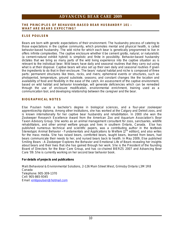#### **THE PRINCIPLES OF BEHAVIOR-BASED BEAR HUSBANDRY 101 – WHAT ARE BEARS EXPECTING?**

#### **ELSE POULSEN**

Bears are born with genetic expectations of their environment. The husbandry process of catering to those expectations in the captive community, which promotes mental and physical health, is called behavior-based husbandry. The wild niche for which each bear is genetically programmed to live in offers infinite complexities. The captive enclosure whether it be cement grotto, natural, or naturalistic (a cement-natural exhibit hybrid) is simplistic and finite in possibility. Behavior-based husbandry dictates that we bring as many parts of the wild living experience into the captive situation as is relevant to the individual bear. Wild bears have daily and seasonal routines that they carry out using what is at their disposal. Captive bears will also set up their own daily and seasonal routines if given the ingredients to do that in their enclosure. The bears' natural habitat and niche is composed of three parts: permanent structures like trees, rocks, and rivers; ephemeral events or structures, such as photoperiod, temperature, ground substrate, seasons; and constant changes like the location and availability of food and flexibility in the ease of the catch. An assessment of the captive environment, based on wild habitat and behavior knowledge, will generate deficiencies which can be remedied through the use of enclosure modification, environmental enrichment, training used as a communication tool, and developing relationship between the caregiver and the bear.

#### **BIOGRAPHICAL NOTES**

Else Poulsen holds a bachelor's degree in biological sciences, and a four-year zookeeper apprenticeship diploma. Among other institutions, she has worked at the Calgary and Detroit zoos, and is known internationally for her captive bear husbandry and rehabilitation. In 2000 she won the Zookeeper Research Excellence Award from the American Zoo and Aquarium Association's Bear Taxon Advisory Group. She works as an animal management consultant for zoos, sanctuaries, wildlife rehabilitators, and other animal welfare groups and lives in southern Ontario, Canada. Else has published numerous technical and scientific papers, was a contributing author in the textbook *Stereotypic Animal Behavior - Fundamentals and Applications to Welfare [2<sup>nd</sup> edition], and also writes* for the mass media. She has raised bears, comforted bears, taught bears, learned from bears, had bears communicate their needs to her, and nursed bears back to health. In May 2009, Else published *Smiling Bears – A Zookeeper Explores the Behavior and Emotional Life of Bears* revealing her insights about bears and their lives that she has gained through her work. She is the President of the founding Board of Directors for the Bear Care Group, and has co-chaired BIERZS 2007 and Advancing Bear Care '09. She is currently working on her second bear behavior book.

**For details of projects and publications** 

Mail**:** Behavioral & Environmental Solutions, 2-126 Main Street West, Grimsby Ontario L3M 1R8 Canada Telephone: 905-309-1370 Cell: 905-865-9345 Email: [embpoulsen@hotmail.com](mailto:embpoulsen@hotmail.com)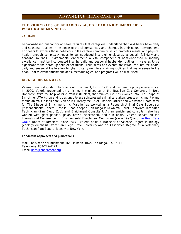#### **THE PRINCIPLES OF BEHAVIOR-BASED BEAR ENRICHMENT 101 – WHAT DO BEARS NEED?**

#### **V A L H A R E**

Behavior-based husbandry of bears requires that caregivers understand that wild bears have daily and seasonal routines in response to the circumstances and changes in their natural environment. For bears to express those behaviors in the captive community, which promotes mental and physical health, enough complexity needs to be introduced into their enclosures to sustain full daily and seasonal routines. Environmental enrichment, a vital component of behavior-based husbandry excellence, must be incorporated into the daily and seasonal husbandry routines in ways as to be significant to the bears' genetic expectations. Thus items and events are introduced into the bears' daily and seasonal life to allow him/her to carry out life sustaining routines that make sense to the bear. Bear relevant enrichment ideas, methodologies, and programs will be discussed

#### **BIOGRAPHICAL NOTES**

Valerie Hare co-founded The Shape of Enrichment, Inc. in 1991 and has been a principal ever since. In 2000, Valerie presented an enrichment mini-course at the Brazilian Zoo Congress in Belo Horizonte. With the help of its current instructors, that mini-course has evolved into The Shape of Enrichment Workshop and is designed to assist interested animal caretakers create enrichment plans for the animals in their care. Valerie is currently the Chief Financial Officer and Workshop Coordinator for The Shape of Enrichment, Inc. Valerie has worked as a Research Animal Care Supervisor (Massachusetts General Hospital), Zoo Keeper (San Diego Wild Animal Park), Behavioral Research Technician (San Diego Zoo), and Enrichment Consultant. As an enrichment consultant she has worked with giant pandas, polar, brown, spectacled, and sun bears. Valerie serves on the International Conference on Environmental Enrichment Committee (since 1997) and the Bear Care Group Board of Directors (since 2007). Valerie holds a Bachelor of Science Degree in Biology (Zoology emphasis) from San Diego State University and an Associates Degree as a Veterinary Technician from State University of New York.

**For details of projects and publications** 

Mail**:** The Shape of Enrichment, 1650 Minden Drive, San Diego, CA 92111 Telephone: 858-279-4273 Email: [hare@enrichment.org](mailto:hare@enrichment.org)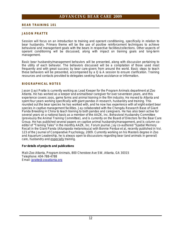#### **BEAR TRAINING 101**

#### **JASON PRATTE**

Session will focus on an introduction to training and operant conditioning, specifically in relation to bear husbandry. Primary theme will be the use of positive reinforcement techniques to achieve behavioral and management goals with the bears in respective facilities/collections. Other aspects of operant conditioning will be discussed, along with impact on training goals and long-term management.

Basic bear husbandry/management behaviors will be presented, along with discussion pertaining to the utility of each behavior. The behaviors discussed will be a compilation of those used most frequently and with great success by bear care-givers from around the world. Basic steps to teach these behaviors will be presented, accompanied by a  $Q & A$  session to ensure clarification. Training resources and contacts provided to delegates seeking future assistance or information.

#### **BIOGRAPHICAL NOTES**

Jason (Jay) Pratte is currently working as Lead Keeper for the Program Animals department at Zoo Atlanta. He has worked as a keeper and animal/bear caregiver for over seventeen years, and this experience covers zoos, game farms and animal training in the film industry. He moved to Atlanta and spent four years working specifically with giant pandas in research, husbandry and training. This rounded out the bear species he has worked with, and he now has experience with all eight extant bear species in captive management facilities. Jay collaborated with the Chengdu Research Base of Giant Panda Breeding in China to teach training to both pandas and caregivers. He has also been active for several years on a national basis as a member of the AAZK, Inc. Behavioral Husbandry Committee (previously the Animal Training Committee), and is currently on the Board of Directors for the Bear Care Group. He has published several papers on captive animal husbandry/management, and is column coeditor of "Training Tales" in the monthly AAZK, Inc. Forum journal. Jay co-authored "Spatial Memory Recall in the Giant Panda (*Ailuropoda melanoleuca*) with Bonnie Perdue *et al*, recently published in Vol. 123 of the Journal of Comparative Psychology, 2009. Currently working on his Masters degree in Zoo and Aquarium Leadership, he is always open to discussions regarding bear (and animals in general) care, husbandry and especially training.

**For details of projects and publications** 

Mail**:** Zoo Atlanta, Program Animals, 800 Cherokee Ave SW, Atlanta, GA 30315 Telephone: 404-788-4788 Email: [jpratte@zooatlanta.org](mailto:jpratte@zooatlanta.org)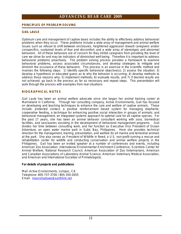#### **PRINCIPLES OF PROBLEM SOLVING**

#### **GAIL LAULE**

Optimum care and management of captive bears includes the ability to effectively address behavioral problems when they occur. These problems include a wide array of management and animal welfare issues such as refusal to shift between enclosures, heightened aggression toward caregivers and/or conspecifics, sustained levels of fear and discomfort, and a wide array of stereotypic and abnormal behaviors. All of these behaviors are of concern for they inhibit caregivers from providing the level of care we strive for and may be indicators of diminished well-being. Therefore it is important to address behavioral problems proactively. The problem solving process provides a framework to examine behavioral problems, assess associated circumstances, and develop strategies to mitigate and diminish the occurance of these behaviors. This process is an exercise in the scientific method and involves the following steps: 1) identify specific behavioral objective(s); 2) assess the situation; 3) develop a hypothesis or educated guess as to why the behavior is occurring; 4) develop methods to address those reasons why; 5) implement methods; 6) evaluate results, and 7) if desired results are not achieved, go back in the process as far as necessary and repeat steps. This presentation will walk through the process with examples from real situations

#### **BIOGRAPHICAL NOTES**

Gail Laule has been an animal welfare advocate since she began her animal training career at Marineland in California. Through her consulting company, Active Environments, Gail has focused on developing and teaching techniques to enhance the care and welfare of captive animals. These include: protected contact, a positive reinforcement based system for managing elephants; cooperative feeding, a technique for enhancing positive social interaction in groups of animals; and behavioral management, an integrated systems approach to optimal care for all captive species. For the past 17 years, she has been an animal behavior consultant working with zoos, biomedical facilities, and sanctuaries assisting in the development of behavioral management programs. Gail divides her time between consulting work, and her function as Executive Vice President of Ocean Adventure, an open water marine park in Subic Bay, Philippines. Here she provides technical direction for the management, training, presentation, and welfare for all marine and terrestrial animals at the park. She also serves as President of Wildlife in Need, a U.S. non-profit running a rescue and rehabilitation center for wildlife and conducting conservation and animal welfare projects in the Philippines. Gail has been an invited speaker at a number of conferences and events, including American Zoo Association, International Environmental Enrichment Conference, Scientists Center for Animal Welfare, National Research Council, American Association of Zoo Veterinarians, American and Canadian Associations of Laboratory Animal Science, American Veterinary Medical Association, and American and International Societies of Primatologists.

**For details of projects and publications** 

Mail: Active Environments, Lompoc, CA Telephone: 805-737-3700 / 805-350-2655 Email: [moonshadowe@earthlink.net](mailto:moonshadowe@earthlink.net)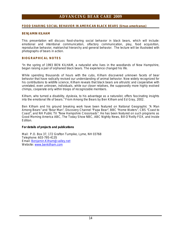#### **FOOD SHARING SOCIAL BEHAVIOR IN AMERICAN BLACK BEARS (***Ursus americanus***)**

#### **BENJAMIN KILHAM**

This presentation will discuss food-sharing social behavior in black bears, which will include: emotional and intentional communication, olfactory communication, play, food acquisition, reproductive behavior, matriarchal hierarchy and general behavior. The lecture will be illustrated with photographs of bears in action.

#### **BIOGRAPHICAL NOTES**

"In the spring of 1993 BEN KILHAM, a naturalist who lives in the woodlands of New Hampshire, began raising a pair of orphaned black bears. The experience changed his life.

While spending thousands of hours with the cubs, Kilham discovered unknown facets of bear behavior that have radically revised our understanding of animal behavior. Now widely recognized for his contributions to wildlife science, Kilham reveals that black bears are altruistic and cooperative with unrelated, even unknown, individuals, while our closer relatives, the supposedly more highly evolved chimps, cooperate only within troops of recognizable members.

Kilham, who turned a disability, dyslexia, to his advantage as a naturalist, offers fascinating insights into the emotional life of bears." From Among the Bears by Ben Kilham and Ed Gray, 2002.

Ben Kilham and his ground breaking work have been featured on National Geographic "A Man Among Bears" and "Bear Man", Discovery Channel "Papa Bear", BBC "Home Waters", CBS "Coast to Coast", and NH Public TV "New Hampshire Crossroads". He has been featured on such programs as Good Morning America ABC, The Today Show NBC, ABC Nightly News, Bill O'Reilly FOX, and Inside Edition.

**For details of projects and publications** 

Mail: P.O. Box 37, 172 Grafton Turnpike, Lyme, NH 03768 Telephone: 603-795-4135 Email: [Benjamin.Kilham@valley.net](mailto:Benjamin.Kilham@valley.net) Website: [www.benkilham.com](http://www.benkilham.com)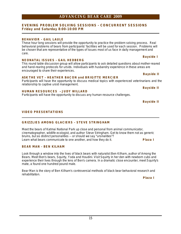#### **EVENING PROBLEM SOLVING SESSIONS - CONCURRENT SESSIONS Friday and Saturday 8:00-10:00 PM**

#### **BEHAVIOR - GAIL LAULE**

These hour long sessions will provide the opportunity to practice the problem solving process. Real behavioral problems of bears from participants' facilities will be used for each session. Problems will be chosen that are representative of the types of issues most of us face in daily management and care.

#### **NEONATAL ISSUES - GAIL HEDBERG**

This round table discussion group will allow participants to ask detailed questions about mother-reared and hand-rearing protocols for ursids. Individuals with husbandry experience in these areas are encouraged to share their experiences.

#### **ASK THE VET - HEATHER BACON and BRIGITTE MERCIER**

Participants will have the opportunity to discuss medical topics with experienced veterinarians and the relationship to captive ursid management. **Bayside II** 

#### **HUMAN RESOURCES – JUDY WILLARD**

Participants will have the opportunity to discuss any human resource challenges.

 **Bayside II** 

#### **VIDEO PRESENTATIONS**

#### **GRIZZLIES AMONG GLACIERS - STEVE STRINGHAM**

Meet the bears of Katmai National Park up close and personal from animal communicator, cinematographer, wildlife ecologist, and author Steve Stringham. Get to know them not as generic bruins, but as distinct personalities -- or should we say "ursinalities"? Learn what bears communicate to one another, and how they do it. **Plaza I** 

#### **BEAR MAN - BEN KILHAM**

Look through a window into the lives of black bears with naturalist Ben Kilham, author of Among the Bears. Meet Ben's bears, Squirty, Yoda and Houdini. Visit Squirty in her den with newborn cubs and experience their lives through the lens of Ben's camera. In a dramatic close encounter, meet Squirty's mate, a found one hundred pound male.

Bear Man is the story of Ben Kilham's controversial methods of black bear behavioral research and rehabilitation.

 **Plaza I** 

#### **Bayside I**

**Bayside II**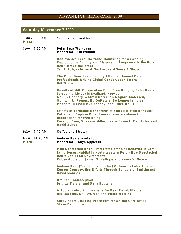# **Saturday November 7 2009**

| $7:00 - 8:00$ AM<br>Plaza I  | <b>Continental Breakfast</b>                                                                                                                                                                                                                                    |
|------------------------------|-----------------------------------------------------------------------------------------------------------------------------------------------------------------------------------------------------------------------------------------------------------------|
| $8:00 - 9:20$ AM             | Polar Bear Workshop<br>Moderator: Bill Winhall                                                                                                                                                                                                                  |
|                              | Noninvasive Fecal Hormone Monitoring for Assessing<br>Reproductive Activity and Diagnosing Pregnancy in the Polar<br>Bear (Ursus maritimus)<br>Terri L. Roth, Katherine M. MacKinnon and Monica A. Stoops                                                       |
|                              | The Polar Bear Sustainability Alliance: Animal Care<br>Professionals Driving Global Conservation Efforts<br><b>Bill Winhall</b>                                                                                                                                 |
|                              | Results of Milk Composition From Free Ranging Polar Bears<br>(Ursus maritimus) in Svalbard, Norway<br>Gail E. Hedberg, Andrew Derocher, Magnus Andersen,<br>Quinton R. Rogers, Ed DePeters, Bo Lonnerdal, Lisa<br>Mazzero, Russell W. Chesney, and Bruce Hollis |
|                              | <b>Effects of Targeting Enrichment to Stimulate Wild Behavior</b><br>Patterns in Captive Polar Bears (Ursus maritimus):<br><b>Implications for Well Being</b><br>Karen J. Cain, Susanne Miller, Leslie Cornick, Carl Tobin and<br>David Scheel                  |
| $9:20 - 9:40$ AM             | Coffee and Stretch                                                                                                                                                                                                                                              |
| $9:40 - 11:20$ AM<br>Plaza I | Andean Bears Workshop<br>Moderator: Robyn Appleton                                                                                                                                                                                                              |
|                              | Wild Spectacled Bear (Tremarctos ornatus) Behavior in Low-<br>Lying Desert Habitat In North-Western Peru - How Spectacled<br><b>Bears Use Their Environment</b><br>Robyn Appleton, Javier G. Vallejos and Karen V. Noyce                                        |
|                              | Andean Bear (Tremarctos ornatus) Outreach - Latin America:<br>Keeper Conservation Efforts Through Behavioral Enrichment<br><b>David Morales</b>                                                                                                                 |
|                              | <b>Ursidae Contraception</b><br><b>Brigitte Mercier and Sally Boutelle</b>                                                                                                                                                                                      |
|                              | A Social Networking Website for Bear Rehabilitators<br>Iris Mazurek, Neil D'Cruze and Victor Watkins                                                                                                                                                            |
|                              | Spray Foam Cleaning Procedure for Animal Care Areas<br><b>Steve Delmonico</b>                                                                                                                                                                                   |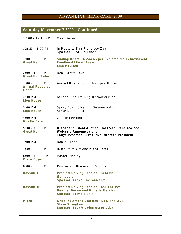## **Saturday November 7 2009 - Continued**

| 12:00 - 12:15 PM                              | <b>Meet Buses</b>                                                                                                           |
|-----------------------------------------------|-----------------------------------------------------------------------------------------------------------------------------|
| 12:15 - 1:00 PM                               | In Route to San Francisco Zoo<br>Sponsor: B&E Solutions                                                                     |
| $1:00 - 2:00$ PM<br><b>Great Hall</b>         | Smiling Bears - A Zookeeper Explores the Behavior and<br><b>Emotional Life of Bears</b><br>Else Poulsen                     |
| $2:00 - 4:00$ PM<br><b>Great Hall Patio</b>   | <b>Bear Grotto Tour</b>                                                                                                     |
| $2:00 - 3:00$ PM<br>Animal Resource<br>Center | Animal Resource Center Open House                                                                                           |
| $2:30$ PM<br>Lion House                       | African Lion Training Demonstration                                                                                         |
| $3:00$ PM<br><b>Lion House</b>                | Spray Foam Cleaning Demonstration<br><b>Steve Delmonico</b>                                                                 |
| $4:00$ PM<br><b>Giraffe Barn</b>              | Giraffe Feeding                                                                                                             |
| $5:30 - 7:00$ PM<br><b>Great Hall</b>         | Dinner and Silent Auction: Host San Francisco Zoo<br>Welcome Announcement<br>Tanya Peterson - Executive Director, President |
| $7:00$ PM                                     | <b>Board Buses</b>                                                                                                          |
| $7:30 - 8:00$ PM                              | In Route to Crowne Plaza Hotel                                                                                              |
| $8:00 - 10:00$ PM<br>Plaza Foyer              | Poster Display                                                                                                              |
| 8:00 - 9:00 PM                                | <b>Concurrent Discussion Groups</b>                                                                                         |
| Bayside I                                     | Problem Solving Session - Behavior<br><b>Gail Laule</b><br><b>Sponsor: Active Environments</b>                              |
| <b>Bayside II</b>                             | Problem Solving Session - Ask The Vet<br>Heather Bacon and Brigette Mercier<br>Sponsor: Animals Asia                        |
| Plaza I                                       | Grizzlies Among Glaciers - DVD and Q&A<br><b>Steve Stringham</b><br>Sponsor: Bear Viewing Association                       |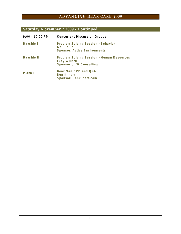## **Saturday November 7 2009 - Continued**

| $9:00 - 10:00$ PM | <b>Concurrent Discussion Groups</b>                                                            |
|-------------------|------------------------------------------------------------------------------------------------|
| Bayside I         | Problem Solving Session - Behavior<br><b>Gail Laule</b><br><b>Sponsor: Active Environments</b> |
| Bayside II        | Problem Solving Session - Human Resources<br><b>Judy Willard</b><br>Sponsor: JLW Consulting    |
| Plaza I           | Bear Man DVD and Q&A<br>Ben Kilham<br>Sponsor: Benkilham.com                                   |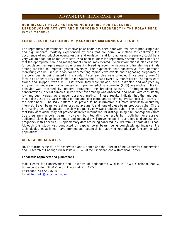#### **NON-INVASIVE FECAL HORMONE MONITORING FOR ACCESSING REPRODUCTIVE ACTIVITY AND DIAGNOSING PREGNANCY IN THE POLAR BEAR (***Ursus maritimus***)**

#### **TERRI L. ROTH, KATHERINE M. MACKINNON and MONICA A. STOOPS**

The reproductive performance of captive polar bears has been poor with few bears producing cubs and high neonatal mortality experienced by cubs that are born. A method for confirming the occurrence of reproductive events (estrus and ovulation) and for diagnosing pregnancy could be a very valuable tool for animal care staff who need to know the reproductive status of their bears so that the appropriate care and management can be implemented. Such information is also essential for population managers responsible for making breeding recommendations and transferring animals among facilities to improve genetic diversity. The hypothesis that noninvasive fecal hormone monitoring can be used as a tool for documenting reproductive events and diagnosing pregnancy in the polar bear is being tested in this study. Fecal samples were collected thrice weekly from 13 female polar bears at 9 zoos in the United States and Canada over a 12 month period. Samples were stored and shipped frozen to CREW where they were thawed, dried, extracted and analyzed by enzyme immunoassay for androgen and pregnanediol glucuronide (PdG) metabolite. Mating behavior was recorded by keepers throughout the breeding season. Androgen metabolite concentrations in fecal samples spiked whenever mating was observed, and bears with consistently low androgen values were never observed mating. These results indicate that the androgen metabolite assay is a valid method for documenting estrus and confirming ovarian follicular activity in the polar bear. The PdG pattern also proved to be informative but more difficult to accurately interpret. Seven bears were diagnosed not pregnant, and none of these bears produced cubs. Of the 6 remaining bears diagnosed "possibly pregnant", only two produced cubs. These results suggest that PdG data alone may not provide definitive information for distinguishing pseudopregnancy from true pregnancy in polar bears. However, by integrating the results from both hormone assays, additional clues have been noted and potentially will prove helpful in our effort to diagnose true pregnancy in this species. Supplementary data are being collected in 2009 from 23 bears at 16 zoos. Although this study was conducted on captive polar bears, being completely noninvasive, the technologies established have tremendous potential for studying reproductive function in wild populations.

#### **BIOGRAPHICAL NOTES**

Dr. Terri Roth is the VP of Conservation and Science and the Director of the Center for Conservation and Research of Endangered Wildlife (CREW) at the Cincinnati Zoo & Botanical Garden.

**For details of projects and publications** 

Mail**:** Center for Conservation and Research of Endangered Wildlife (CREW), Cincinnati Zoo & Botanical Garden, 3400 Vine St., Cincinnati, OH 45220 Telephone: 513-569-8220 Email: [terri.roth@cincinnatizoo.org](mailto:terri.roth@cincinnatizoo.org)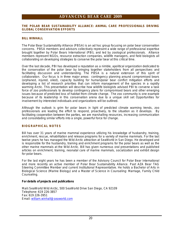#### **THE POLAR BEAR SUSTAINABILITY ALLIANCE: ANIMAL CARE PROFESSIONALS DRIVING GLOBAL CONSERVATION EFFORTS**

#### **BILL WINHALL**

The Polar Bear Sustainability Alliance (PBSA) is an ad hoc group focusing on polar bear conservation concerns. PBSA members and advisors collectively represent a wide range of professional expertise brought together by Polar Bears International (PBI), and led by zoological professionals. Alliance members represent NGOs, resource extraction companies, wildlife managers, and field biologists all collaborating on developing strategies to conserve the polar bear at this critical time.

Over the last decade, PBI has developed a reputation as a nimble, apolitical organization dedicated to the conservation of the polar bear by bringing together stakeholders from all perspectives and facilitating discussion and understanding. The PBSA is a natural extension of this spirit of collaboration. Our focus is in three major areas: contingency planning around compromised bears (orphaned, injured, oiled), capacity building for human/polar bear conflict mitigation efforts and developing a list of research priorities that can inform management of the species in a rapidly warming Arctic. This presentation will describe how wildlife biologists advised PBI to convene a task force of zoo professionals to develop contingency plans for compromised bears and other emerging issues because of predicted loss of habitat from climate change. The zoo community is one example because of its leadership in this conservation arena due to a unique skill set Opportunities for involvement by interested individuals and organizations will be outlined.

Although the outlook is grim for polar bears in light of predicted climate warming trends, zoo professionals are leading the effort to respond, proactively, to the situation as it develops. By facilitating cooperation between the parties, we are marshalling resources, increasing communication and consolidating similar efforts into a single, powerful force for change.

#### **BIOGRAPHICAL NOTES**

Bill has over 31 years of marine mammal experience utilizing his knowledge of husbandry, training, enrichment, rescue, rehabilitation and release programs for a variety of marine mammals. For the last twelve years he has managed the *Wild Arctic* attraction at SeaWorld in San Diego. He developed and is responsible for the husbandry, training and enrichment programs for the polar bears as well as the other marine mammals at the *Wild Arctic*. Bill has given numerous oral presentations and published articles on enrichment, training, neonatal care of marine mammals, socialization and exhibit design for polar bears.

For the last eight years he has been a member of the Advisory Council for Polar Bear International and more recently an active member of Polar Bear Sustainability Alliance. Past AZA Bear TAG Steering Committee Member and current Institutional Representative. He holds a Bachelor of Arts in Biological Science (Marine Biology) and a Master of Science in Counseling: Marriage, Family Child Counseling.

**For details of projects and publications** 

Mail**:** SeaWorld Wild Arctic, 500 SeaWorld Drive San Diego, CA 92109 Telephone: 619 226-3857 Fax: 619 226-3951 Email: [william.winhall@seaworld.com](mailto:william.winhall@seaworld.com)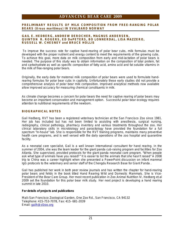**PRELIMINARY RESULTS OF MILK COMPOSITION FROM FREE-RANGING POLAR BEARS (***Ursus maritimus***) IN SVALBARD NORWAY** 

#### **GAIL E. HEDBERG, ANDREW DEROCHER, MAGNUS ANDERSEN, QUINTON R. ROGERS, ED DePETERS, BO LONNERDAL, LISA MAZZERO, RUSSELL W. CHESNEY and BRUCE HOLLIS**

To improve the success rate for captive hand-rearing of polar bear cubs, milk formulas must be developed with the proper nutrient and energy content to meet the requirements of the growing cubs. To achieve this goal, more data on milk composition from early and mid-lactation of polar bears is needed. The purpose of this study was to obtain information on the composition of total protein, fat and carbohydrate as well as specific composition of fatty acid, amino acid and fat soluble vitamins in the milk of free-ranging polar bears.

Originally, the early data for maternal milk composition of polar bears were used to formulate handrearing formulas for polar bear cubs in captivity. Unfortunately these early studies did not provide a comprehensive analysis of polar bear milk composition. Improved analytical methods now available allow improved accuracy for measuring chemical constituents in milk.

As climate change becomes a concern for polar bears the need for captive rearing of polar bears may become an important conservation and management option. Successful polar bear ecology requires attention to nutritional requirements of the newborn.

#### **BIOGRAPHICAL NOTES**

Gail Hedberg, RVT has been a registered veterinary technician at the San Francisco Zoo since 1981. Her job has included but has not been limited to assisting with anesthesia, surgical nursing, radiography, clinical pathology, pharmacy inventory and various treatments throughout the zoo. Her clinical laboratory skills in microbiology and parasitology have provided the foundation for a full spectrum "in-house" lab. She is responsible for the RVT training programs, maintains many preventive health care programs, and is well versed with the daily operations of the zoo hospital and quarantine facility.

As a neonatal care specialist, Gail is a well known international consultant for hand rearing. In the summer of 2004, she was the team leader for the giant panda cub-raising program and facilities for Zoo Atlanta. She supervised, provided protocols for the giant panda neonatal care program. "When people ask what type of animals have you raised?" It is easier to list the animals that she hasn't raised" A 2008 trip to China was a career highlight when she presented a PowerPoint discussion on infant mammal IgG protocols to the veterinary and senior staff of the Chengdu Research Base for Giant Panda .

Gail has published her work in both peer review journals and has written the chapter for hand-rearing polar bears and felids in the book titled *Hand Rearing Wild and Domestic Mammals.* She is Vice-President of the Bear Care Group. Her most recent publication in Zoo Animal Nutrition IV, *Hedberg et.al 2009* set the foundation for this polar bear milk study. Her next project is developing a hand rearing summit in late 2010.

**For details of projects and publications** 

Mail**:** San Francisco Zoological Garden, One Zoo Rd., San Francisco, CA 94132 Telephone: 415-753-7078, Fax: 415- 681-2039 Email: [gailh@sfzoo.org](mailto:gailh@sfzoo.org)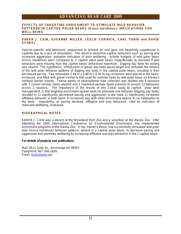#### **EFFECTS OF TARGETING ENRICHMENT TO STIMULATE WILD BEHAVIOR PATTERNS IN CAPTIVE POLAR BEARS (***Ursus maritimus***): IMPLICATIONS FOR WELL-BEING**

#### **KAREN J. CAIN, SUSANNE MILLER, LESLIE CORNICK, CARL TOBIN and DAVID SCHEEL**

Species-specific wild behaviors, sequenced to achieve an end goal, are frequently suppressed in captivity due to a lack of stimulation. The result is abnormal captive behaviors such as pacing and increased aggression, probable indicators of poor wellbeing. Activity budgets of wild polar bears (*Ursus maritimus*) were compared to 2 captive adult polar bears (male/female) to discover if wild behaviors were missing from the captive bears' behavioral repertoire. Digging day beds for resting was absent. The hypothesis: introduction of gravel day beds would target and stimulate the release of the wild polar behavior patterns of digging day beds in the captive polar bears, resulting in their decreased pacing. Two removable 2.44 m x 3.66 m x 0.30 m log containers were placed in the bears' enclosure, and filled with gravel similar to that used for summer beds by wild polar bears on Alaska's northern barrier islands. Twelve weeks of observational data collection was divided into 4 sessions with 2 control periods (beds absent) and 2 treatment periods (beds present) to assess 12 behaviors across 2 seasons. The importance of the results of this 2-bear study to captive polar bear management, is that targeting enrichment (gravel beds) to stimulate one behavior (digging day beds) resulted in 1) significantly decreased pacing and aggression in the male 2) significantly increased affiliative behavior in both bears 3) increased play with other enrichment objects 4) no habituation to the beds. Importantly, as pacing declined, affiliative and play behaviors, cited as indicators of improved wellbeing, increased.

#### **BIOGRAPHICAL NOTES**

KAREN J. CAIN was a docent at the Woodland Park Zoo and a volunteer at the Alaska Zoo. After attending the 2005 International Conference on Environmental Enrichment, she implemented enrichment programs at the Alaska Zoo. In her master's thesis, she successfully stimulated wild polar bear (*Ursus maritimus*) behavior patterns, absent in 2 captive polar bears, to decrease pacing and aggression and promotes wellbeing by increasing affiliative and play behaviors in the 2 captive bears.

**For details of projects and publications** 

Mail: 8511 Solar Dr., Anchorage AK 99507 Telephone: 907-346-2620 Email: [kjc@alaska.net](mailto:kjc@alaska.net)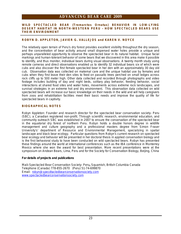#### **WILD SPECTACLED BEAR (***Tremarctos Ornatus***) BEHAVIOR IN LOW-LYING DESERT HABITAT IN NORTH-WESTERN PERU – HOW SPECTACLED BEARS USE THEIR ENVIRONMENT**

#### **ROBYN D. APPLETON, JAVIER G. VALLEJOS and KAREN V. NOYCE**

The relatively open terrain of Peru's dry forest provides excellent visibility throughout the dry season, and the concentration of bear activity around small dispersed water holes provide a unique and perhaps unparalleled opportunity to observe the spectacled bear in its natural habitat. Unique facial markings and human-tolerant behavior of some bears that we discovered in this area make it possible to identify, and thus monitor, individual bears during visual observations. A twenty month study using remote cameras and direct observations enabled us to identify 32 individual bears six of which were cubs and also discover the first female spectacled bear in her den with an approximately 30 day old cub. Observation data was collected on maternal care and the unique habitat use by females and cubs when they first leave their den sites to feed on passallo trees perched on small ledges across rock cliffs up to 500 meter high. Other data collected and recorded through photographs and video footage includes building of day and night beds, solitary play behavior, feeding behavior, social interactions at shared food sites and water holes, movements across extreme rock landscapes, and survival strategies in an extreme hot and dry environment. This observation data collected on wild spectacled bears will increase our basic knowledge on their needs in the wild and will help caregivers from zoos and rehabilitation facilities meet their basic needs and improve the quality of life for spectacled bears in captivity.

#### **BIOGRAPHICAL NOTES**

Robyn Appleton: Founder and research director for the spectacled bear conservation society- Peru (SBC), a Canadian registered non-profit. Through scientific research, environmental education, and community outreach SBC was established in 2007 to ensure the conservation of the spectacled bear in the equatorial dry forest of northern Peru. Robyn holds a double honors degree in wildlife management and culture geography and a professional masters degree from Simon Fraser University's' department of Resource and Environmental Management, specializing in spatial landscape and black bear ecology. Particular questions from Robyn's current research on spectacled bear ecology and behavior will be presented in her doctoral thesis in applied conservation biology and is the first behavioral study to have been conducted on wild spectacled bears. Robyn has presented these findings around the world at international conferences such as the IBA conference in Monterrey Mexico where she won the award for best presentation. More recent presentations were at the symposium on Andean Bears, Lima, Peru and for the Society for Conservation Biology, Beijing, China

**For details of projects and publications** 

Mail**:** Spectacled Bear Conservation Society- Peru**,** Squamish, British Columbia Canada Telephone (Canada) 778-855-2670 (Peru) 51-74-699870 Email: [robyn@specdtacledbearconservationsociety.com](mailto:robyn@specdtacledbearconservationsociety.com) [www.spectacledbearconservationsociety.com](http://www.spectacledbearconservationsociety.com)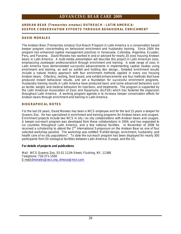#### **ANDEAN BEAR (***Tremarctos ornatus***) OUTREACH – LATIN AMERICA: KEEPER CONSERVATION EFFORTS THROUGH BEHAVIORAL ENRICHMENT**

#### **DAVID MORALES**

The Andean Bear *(Tremarctos ornatus)* Out-Reach Program in Latin America is a conservation based keeper program concentrating on behavioral enrichment and husbandry training. Since 2004 the program has enhanced captive management practices in Venezuela, Colombia, Argentina, Ecuador, Peru, and Panama. David Morales has worked in and or advised for nearly 20 zoos housing Andean bears in Latin America. A multi-media presentation will describe this project in Latin American zoos, emphasizing zookeeper professionalism through enrichment and training. A wide range of zoos in Latin America have demonstrated successful advancements in implementing captive studies using enrichment and training, as well as exhibit and holding den design., Detailed enrichment results include a natural history approach with four enrichment methods applied in every zoo housing Andean bears. Olfactory, nesting, food based, and exhibit enhancements are four methods that have produced instant behavioral results, and set a foundation for successful enrichment programs. Husbandry training results in Latin America have produced basic and some advanced behaviors such as tactile, weight, and medical behaviors for injections, and treatments. The program is supported by the Latin American Association of Zoos and Aquariums (ALPZA) which has fostered the expansion throughout Latin America. A working program agenda is to increase keeper conservation efforts for Andean bears through enrichment and training in Latin America.

#### **BIOGRAPHICAL NOTES**

For the last 20 years, David Morales has been a WCS employee and for the last 15 years a keeper for Queens Zoo. He has specialized in enrichment and training programs for Andean bears and cougars. Enrichment projects include two WCS *in situ / ex situ* collaborations with Andean bears and cougars. A keeper out-reach program was developed from these collaborations in 2004, and has expanded to six countries throughout Latin America, and a few national facilities. In November of 2008 he received a scholarship to attend the 2<sup>nd</sup> International Symposium on the Andean Bear as one of four selected workshop panelist. The workshop was entitled "Exhibit design, enrichment, husbandry, and health care of ex situ populations". To date the out-reach program has been displayed for nearly 300 participants from 50 zoological facilities between Latin America, Europe, and the US.

**For details of projects and publications** 

Mail: WCS Queens Zoo, 53-51 111th Street, Flushing, NY, 11368 Telephone: 718-271-1500 E-mail:[dmorales@wcs.org](mailto:dmorales@wcs.org), [dmoso@msn.com](mailto:dmoso@msn.com)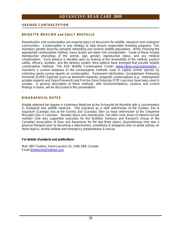#### **URSIDAE CONTRACEPTION**

#### **BRIGETTE MERCIER and SALLY BOUTELLE**

Reproduction and contraception are ongoing topics of discussion for wildlife, aquarium and zoological communities. Contraception is one strategy to help ensure responsible breeding programs. This maintains genetic diversity, prevents inbreeding and controls wildlife populations. When choosing the appropriate contraceptive method, many factors are taken into consideration. Some of these include reproductive physiology of the animal, age, gender, reproductive status, and any medical complications. Each product is decided upon by looking at the reversibility of the method, product safety, efficacy, duration, and the delivery system. New options have emerged that provide reliable contraceptive methods. The AZA Wildlife Contraceptive Center [\(www.stlzoo.org/contraception](http://www.stlzoo.org/contraception) ) maintains a current database of the contraceptive methods used in captive animal species by collecting yearly survey reports on contraception. Permanent sterilization, Gonadotropin Releasing Hormone (GnRH) Agonists (such as deslorelin implants), progestin contraceptives (e.g. melengestrol acetate implants and Depo-Provera®) and Porcine Zona Pellucida (PZP) vaccines have been used in ursidae. A general description of these methods, with recommendations, cautions and current findings in bears, will be discussed in this presentation. .

#### **BIOGRAPHICAL NOTES**

Brigitte obtained her degree in Veterinary Medicine at the Université de Montréal with a concentration in zoological and wildlife medicine. She practiced as a staff veterinarian at the Québec Zoo & Aquarium (Canada) and at the Granby Zoo (Canada), then as head veterinarian at the Cheyenne Mountain Zoo in Colorado. Besides bears and reproduction, her other main areas of interest include nutrition (she was supportive executive for the Nutrition Advisory and Research Group of the Canadian Association of Zoos and Aquariums for the last three years), physiotherapy (she was a physical therapist prior to becoming a veterinarian), anesthesia & analgesia (she co-wrote articles on these topics), animal welfare and emergency preparedness & rescue.

**For details of projects and publications** 

Mail: 995 Trudeau, Saint-Laurent, Qc, H4N 2B8, Canada Email [brimercier@hotmail.com](mailto:brimercier@hotmail.com)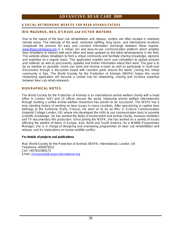#### **A SOC IAL N E TWORKIN G WEBSITE FOR B EAR REHABILIT ATORS**

#### **IRIS MAZUREK, NEIL D'CRUZE and VICTOR WATKINS**

Due to the nature of the bear cub rehabilitation and release, centers are often located in relatively remote areas. The intensity of the work, restricted staffing, long hours, and international locations complicate the process for easy and constant information exchange between these experts. [www.Bearcubrelease.org](http://www.Bearcubrelease.org) is a virtual, fun and easy-to-use communication platform which enables bear rehabbers to interact with each other and keep updated on the latest developments in the field. This website allows rehabbers to form a virtual community and facilitate sharing knowledge, opinions and expertise on a regular basis. This application enables each user (rehabber) to upload pictures and material, as well as post events, updates and further information about their work. The goal is to be as intuitive as possible. Users can send and receive e-mails as well as participate in multi-user discussions through a discussion board with counters parts around the world. Joining this virtual community is free. The World Society for the Protection of Animals (WSPA) hopes this social networking application will become a central hub for networking, sharing and increase expertise between bear cub rehab-releasers.

#### **BIOGRAPHICAL NOTES**

The World Society for the Protection of Animals is an international animal welfare charity with a head office in London (UK) and 13 offices around the world. Improving animal welfare internationally through building a united animal welfare movement has proven to be successful. The WSPA has a long standing history of working on bear issues in many countries. After specializing in captive bear ethology at the Sorbonne (Paris, France), Iris went on to do an MSc in Science Communication (Imperial College London, UK) where she developed the skills to use communication tools to promote scientific knowledge. Iris has worked the fields of environment and animal charity, museum exhibition and TV documentary film production. Since joining the WSPA, she has worked on a variety of issues affecting the welfare of bears in Europe, Asia, North and South America. As a Wildlife Programmes Manager, she is in charge of designing and overseeing programmes on bear cub rehabilitation and release, and it's implications on human wildlife conflict.

**For details of projects and publications** 

Mail: World Society for the Protection of Animals (WSPA- International), London, UK Telephone +445875012 Cell: +447810366172 Email: [irismazurek@wspa-international.org](mailto:irismazurek@wspa-international.org)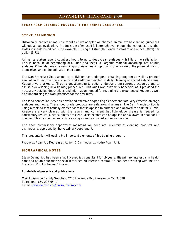#### **SPRAY FOA M C LEAN IN G PROCEDU RE FO R A N IM A L CARE AREAS**

#### **STEVE DELMONICO**

Historically, captive animal care facilities have adopted or inherited animal exhibit cleaning guidelines without serious evaluation. Products are often used full strength even though the manufacturers label states it should be diluted. One example is using full strength Bleach instead of one ounce (30ml) per gallon (3.78L)

Animal caretakers spend countless hours trying to deep clean surfaces with little or no satisfaction. This is because of penetrating oils, urine and feces i.e. organic material absorbing into porous surfaces. Other staff may be using inappropriate cleaning products or unaware of the potential risks to themselves and to the animals in their care.

The San Francisco Zoos animal care division has undergone a training program as well as product evaluation to improve the efficiency and staff time devoted to daily cleaning of animal exhibit areas. Keepers were asked to fill out a questionnaire to better understand the current procedures and to assist in developing new training procedures. This audit was extremely beneficial as it provided the necessary detailed descriptions and information needed for retraining the experienced keeper as well as standardizing the work practices for the new hires.

The food service industry has developed effective degreasing cleaners that are very effective on cage surfaces and floors. These food grade products are safe around animals. The San Francisco Zoo is using a method that actually creates foam that is applied to surfaces and allowed to soak for 30 min. Keepers are very pleased with the results and comment that little elbow grease is needed for satisfactory results. Once surfaces are clean, disinfectants can be applied and allowed to soak for 10 minutes. This new technique is time saving as well as cost effective for the zoo.

The zoos commissary department maintains an adequate inventory of cleaning products and disinfectants approved by the veterinary department.

This presentation will outline the important elements of this training program.

Products: Foam Up Degreaser, Action-D Disinfectants, Hydro Foam Unit

#### **BIOGRAPHICAL NOTES**

Steve Delmonico has been a facility supplies consultant for 19 years. His primary interest is in health care and as an education specialist focuses on infection control. He has been working with the San Francisco Zoo for the last 17 years

**For details of projects and publications** 

Mail**:** Unisource Facility Supplies, 4225 Hacienda Dr., Pleasanton Ca. 94588 Telephone: 650-207-6541 Email: [steve.delmonico@unisourcelink.com](mailto:steve.delmonico@unisourcelink.com)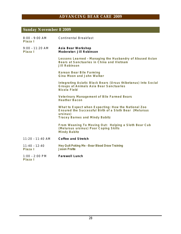# **Sunday November 8 2009**

| $8:00 - 9:00$ AM<br>Plaza I  | <b>Continental Breakfast</b>                                                                                                                                       |
|------------------------------|--------------------------------------------------------------------------------------------------------------------------------------------------------------------|
| $9:00 - 11:20$ AM<br>Plaza I | Asia Bear Workshop<br>Moderator: Jill Robinson                                                                                                                     |
|                              | Lessons Learned - Managing the Husbandry of Abused Asian<br>Bears at Sanctuaries in China and Vietnam<br><b>Jill Robinson</b>                                      |
|                              | Korean Bear Bile Farming<br>Gina Moon and John Walker                                                                                                              |
|                              | Integrating Asiatic Black Bears (Ursus thibetanus) Into Social<br>Groups at Animals Asia Bear Sanctuaries<br>Nicola Field                                          |
|                              | Veterinary Management of Bile Farmed Bears<br><b>Heather Bacon</b>                                                                                                 |
|                              | What to Expect when Expecting: How the National Zoo<br>Ensured the Successful Birth of a Sloth Bear (Melursus<br>ursinus)<br><b>Tracey Barnes and Mindy Babitz</b> |
|                              | From Weaning To Moving Out: Helping a Sloth Bear Cub<br>(Melursus ursinus) Poor Coping Skills<br>Mindy Babitz                                                      |
| $11:20 - 11:40$ AM           | Coffee and Stretch                                                                                                                                                 |
| $11:40 - 12:40$<br>Plaza I   | Hey Quit Poking Me - Bear Blood Draw Training<br><b>Jason Pratte</b>                                                                                               |
| $1:00 - 2:00$ PM<br>Plaza I  | <b>Farewell Lunch</b>                                                                                                                                              |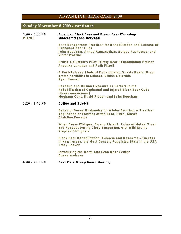## **Sunday November 8 2009 - continued**

| $2:00 - 5:00$ PM<br>Plaza I | American Black Bear and Brown Bear Workshop<br>Moderator: John Beecham                                                                                                        |
|-----------------------------|-------------------------------------------------------------------------------------------------------------------------------------------------------------------------------|
|                             | Best Management Practices for Rehabilitation and Release of<br><b>Orphaned Bear Cubs</b><br>John Beecham, Annad Ramanathan, Sergey Pazhetnov, and<br><b>Victor Watkins</b>    |
|                             | British Columbia's Pilot Grizzly Bear Rehabilitation Project<br>Angelika Langden and Ruth Fitzell                                                                             |
|                             | A Post-Release Study of Rehabilitated Grizzly Bears (Ursus<br>arctos horribilis) in Lillooet, British Columbia<br><b>Ryan Barnett</b>                                         |
|                             | Handling and Human Exposure as Factors in the<br>Rehabilitation of Orphaned and Injured Black Bear Cubs<br>(Ursus americanus)<br>Meghann Cant, David Fraser, and John Beecham |
| $3:20 - 3:40$ PM            | Coffee and Stretch                                                                                                                                                            |
|                             | Behavior Based Husbandry for Winter Denning: A Practical<br>Application at Fortress of the Bear, Sitka, Alaska<br><b>Christine Fenwick</b>                                    |
|                             | When Bears Whisper, Do you Listen? Roles of Mutual Trust<br>and Respect During Close Encounters with Wild Bruins<br>Stephen Stringham                                         |
|                             |                                                                                                                                                                               |
|                             | Black Bear Rehabilitation, Release and Research - Success<br>in New Jersey, the Most Densely Populated State in the USA<br><b>Tracy Leaver</b>                                |
|                             | Introducing the North American Bear Center<br>Donna Andrews                                                                                                                   |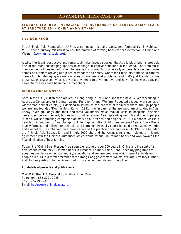#### **LESSONS LEARNED – MANAGING THE HUSBANDRY OF ABUSED ASIAN BEARS AT SANCTUARIES IN CHINA AND VIETNAM**

#### **JILL ROBINSON**

The Animals Asia Foundation (AAF) is a non-governmental organisation, founded by Jill Robinson MBE, whose primary mission is to end the practice of farming bears for bile extraction in China and Vietnam [\(www.animalsasia.org](http://www.animalsasia.org)).

A wild, intelligent, destructive and remarkably mischievous species, the Asiatic black bear is probably one of the most challenging species to manage in captive situations in the world. The problem is compounded a thousand fold when the species is tortured both physically and mentally on bear farms across Asia before arriving at a place of freedom and safety, where their rescuers promise to care for them - for life. Managing a variety of ages, characters and problems (and that's just the staff) - this presentation discusses what has worked, where could we improve and how, for the most part, the bears themselves have been the best teachers.

#### **BIOGRAPHICAL NOTES**

Born in the UK, Jill Robinson arrived in Hong Kong in 1985 and spent the next 12 years working in Asia as a Consultant for the International Fund for Animal Welfare. Repeatedly faced with scenes of widespread animal cruelty, Jill decided to introduce the concept of 'animal welfare through people welfare' and founded "Dog" in Hong Kong in 1991 - the first animal therapy program of its kind in Asia. Today, over 300 dogs and their dedicated volunteers make regular visits to hospitals, disabled centers, schools and elderly homes in 6 countries across Asia, spreading warmth and love to people in need, whilst promoting companion animals as our friends and helpers. In 1993 a chance visit to a bear farm in southern China changed Jill life. Exposing the plight of endangered Asiatic Black Bears cruelly farmed, and milked, for their bile, and learning how easily bear bile could be replaced by herbs and synthetics, Jill embarked on a promise to end the practice once and for all. In 1998 she founded the Animals Asia Foundation and in July 2000 she and the Animals Asia team signed an historic agreement with the Chinese authorities which would rescue 500 farmed bears and work towards the final elimination of bear farming.

Today, the "China Bear Rescue" has seen the rescue of over 200 bears in China and the start of a new rescue centre for 200 farmed bears in Vietnam. Animals Asia's Bear Sanctuary programs are spearheading far-reaching community, education and welfare programs which benefit animals and people alike. Jill is a former member of the Hong Kong government "Animal Welfare Advisory Group" and Honorary Advisor to the Ocean Park Conservation Foundation, Hong Kong

**For details of projects and publications** 

Mail**:** P.O. Box 374, General Post Office, Hong Kong Telephone: 852-2791-2225 Fax: 852-2791-2320 Email: [jrobinson@animalsasia.org](mailto:jrobinson@animalsasia.org)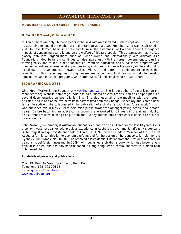#### **MOON BEARS IN SOUTH KOREA - TIME FOR CHANGE**

#### **GINA MOON and JOHN WALKER**

In Korea, there are only 16 moon bears in the wild with an estimated 1600 in captivity. This is ironic as according to legend the mother of the first Korean was a bear. Moonbears.org was established in 2007 to save farmed bears in Korea and to raise the awareness of Koreans about the negative impacts of consuming bear bile and on the welfare of this rare specie. This organization has worked closely with local organizations such as Green Korea and internationally with Animals Asia Foundation. Moonbears.org continues to raise awareness with the Korean government to ban the farming policy and to set up bear sanctuaries, establish education, and surveillance programs with commercial airlines, international airport customs, and zoos to improve the quality of life and to stop illegal trade of bear products between China, Vietnam and Korea. Moonbears.org believes that resolution of this issue requires strong government action and fund raising to help to develop sanctuaries, and education programs, which are respectful and sensitive to Korean culture.

#### **BIOGRAPHICAL NOTES**

Gina Moon Walker is the Founder of [www.Moonbears.org](http://www.Moonbears.org). She is the author of the articles on the moonbears.org Website homepage. She has co-authored several articles, and has helped produce several documentaries on bear bile farming. She also leads all of the meetings with the Korean affiliates, and is one of the few activists to have visited both the Chengdu sanctuary and Korean bear farms. In addition, she collaborated in the publication of a children's book titled "Ura's World", which was published this in May 2009 to help raise public awareness amongst young people about moon bears. Before becoming an active conservationist, she worked for 22 years in the airline industry. She currently resides in Hong Kong, Seoul and Sydney, but the bulk of her work is done in Korea, her native country.

John Walker (Co-Founder) is Australian, but has lived and worked in Korea for the last 10 years. He is a senior investment banker with previous experience in Australia's governmental affairs. His company is the largest foreign investment bank in Korea. In 1999, he was made a Member of the Order of Australia for his contribution to economic reform, and for the design of the transportation plan for the Sydney 2000 Olympic bid. In 2005, he received a Presidential Citation from the President of Korea for being a model foreign investor. In 2009, John published a children's book, which has become very popular in Korea, and has now been released in Hong Kong; who's central character is a moon bear cub named Ura.

**For details of projects and publications** 

Mail: PO Box 167 SaiKung Kowloon, Hong Kong Telephone: 852- 903 706 12 Email: [g.moon@moonbears.org](mailto:g.moon@moonbears.org) [www.moonbears.org](http://www.moonbears.org)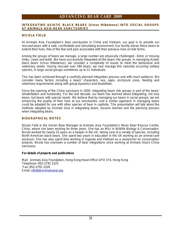#### **INTEGRATING ASIATIC BLACK BEARS (***Ursus thibetanus***) INTO SOCIAL GROUPS AT ANIMALS ASIA BEAR SANCTUARIES**

#### **NICOLA FIELD**

At Animals Asia Foundation's bear sanctuaries in China and Vietnam, our goal is to provide our rescued bears with a safe, comfortable and stimulating environment. Our facility allows these bears to extend their lives, free of the fear and pain associated with their previous lives on bile farms.

Among the groups of bears we manage, a large number are physically challenged – blind, or missing limbs, claws and teeth. We have successfully integrated all the bears into groups. In managing Asiatic black bears *(Ursus thibetanus)*, we consider a complexity of issues to meet the behavioral and veterinary needs. Having rescued over 280 bears, we now manage this naturally occurring solitary species, in large social groups sometimes up to 21 individuals.

This has been achieved through a carefully planned integration process and with much patience. We consider many factors including a bears' characters, sex, ages, enclosure sizes, feeding and veterinary requirements along with group dynamics and disabilities.

Since the opening of the China sanctuary in 2000, integrating bears into groups is part of the bears' rehabilitation and husbandry. For the last decade, our team has learned about integrating, not only bears, but bears with special needs. We believe that by managing our bears in social groups, we are enhancing the quality of their lives at our sanctuaries, and a similar approach in managing bears could be adapted for use with other species of bear in captivity. This presentation will talk about the methods adopted by Animals Asia in integrating bears, lessons learned and the planning process when integrating bears.

#### **BIOGRAPHICAL NOTES**

Nicola Field is the Senior Bear Manager at Animals Asia Foundation's Moon Bear Rescue Centre, China, where she been working for three years. She has an MSc in Wildlife Biology & Conservation. Nicola worked for nearly 10 years as a keeper in the UK, taking care of a variety of species, including North American black bears. She spent two years in education in the UK working as an animal-care assessor. She has also spent time working in Uganda and Vietnam as a researcher on conservation projects. Nicola has overseen a number of bear integrations since working at Animals Asia's China sanctuary.

**For details of projects and publications** 

Mail: Animals Asia Foundation, Hong Kong Head Office GPO 374, Hong Kong Telephone: 852-2791 2225 Fax: 852-2791 2329 Email: [nfield@animalsasia.org](mailto:nfield@animalsasia.org)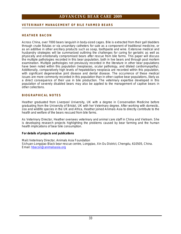#### **VETERINARY MANAGEMENT OF BILE FARMED BEARS**

#### **HEATHER BACON**

Across China, over 7000 bears languish in body-sized cages. Bile is extracted from their gall bladders through crude fistulas or via unsanitary catheters for sale as a component of traditional medicine, or as an additive in other ancillary products such as soap, toothpaste and wine. Extensive medical and husbandry strategies will be summarized outlining the challenges for caring for geriatric as well as physically and emotionally compromised bears after rescue from bile farms. This paper will discuss the multiple pathologies recorded in this bear population, both in live bears and through post mortem examination. Multiple pathologies not previously recorded in the literature in other bear populations have been noted within this population (neoplasias, ocular pathology, and dilated cardiomyopathy). Additionally, comparatively high levels of hepatobiliary neoplasia are recorded within this population, with significant degenerative joint disease and dental disease. The occurrence of these medical issues are more commonly recorded in this population than in other captive bear populations, likely as a direct consequence of their use in bile production. The veterinary expertise developed in this population of severely disabled bears may also be applied to the management of captive bears in other collections.

#### **BIOGRAPHICAL NOTES**

Heather graduated from Liverpool University, UK with a degree in Conservation Medicine before graduating from the University of Bristol, UK with her Veterinary degree. After working with domestic, zoo and wildlife species in the UK and Africa, Heather joined Animals Asia to directly contribute to the health and welfare of the bears rescued from bile farms.

As Veterinary Director, Heather oversees veterinary and animal care staff in China and Vietnam. She is developing research projects highlighting the problems caused by bear farming and the human health implications of bear bile consumption.

**For details of projects and publications** 

Mail**:** Veterinary Director, Animals Asia Foundation Sichuan-Longqiao Black bear rescue centre, Longqiao, Xin Du District, Chengdu, 610505, China. Email: [hbacon@animalsasia.org](mailto:hbacon@animalsasia.org)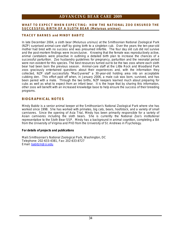#### **WHAT TO EXPECT WHEN EXPECTING: HOW THE NATIONAL ZOO ENSURED THE SUCCESSFUL BIRTH OF A SLOTH BEAR (***Melursus ursinus***)**

#### **TRACEY BARNES and MINDY BABITZ**

In late December 2004, a sloth bear *(Melursus ursinus)* at the Smithsonian National Zoological Park (NZP) surprised animal-care staff by giving birth to a singleton cub. Over the years the ten-year-old mother had bred with no success and was presumed infertile. The four day old cub did not survive and the post-mortem findings were inconclusive. Knowing that the female was reproductively active, animal caretakers were proactive in outlining a detailed birth plan to increase the chances of a successful parturition. Zoo husbandry guidelines for pregnancy, parturition and the neonatal period were non existent for this species. The best resources turned out to be the two zoos where each sloth bear had been born the previous season. Animal-care staff at the Little Rock and Woodland Park zoos graciously entertained questions about their experiences and, with the information they collected, NZP staff successfully "MacGyvered" a 30-year-old holding area into an acceptable cubbing den. This effort paid off when, in January 2006, a male cub was born, survived, and has been paired with a mate. Through the two births, NZP keepers learned much about preparing for cubs as well as what to expect from an infant bear. It is the hope that by sharing this information, other zoos will benefit with an increased knowledge base to help ensure the success of their breeding programs.

#### **BIOGRAPHICAL NOTES**

Mindy Babitz is a senior animal keeper at the Smithsonian's National Zoological Park where she has worked since 1998. She has worked with primates, big cats, bears, hoofstock, and a variety of small carnivores. Since the opening of Asia Trial, Mindy has been primarily responsible for a variety of Asian carnivores including the sloth bears. She is currently the National Zoo's institutional representative to the Sloth Bear SSP. Mindy has a background in animal cognition, completing a BA from the University of Virginia and PhD from the University of St. Andrews in Psychology.

**For details of projects and publications** 

Mail**:** Smithsonian's National Zoological Park, Washington, DC Telephone: 202-633-4381, Fax: 202-633-8727 Email: [babitzm@si.edu](mailto:babitzm@si.edu)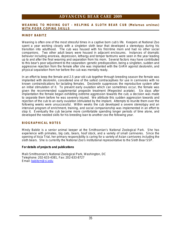#### **WEANING TO MOVING OUT - HELPING A SLOTH BEAR CUB (***Melursus ursinus***) WITH POOR COPING SKILLS**

#### **MINDY BABITZ**

Weaning is often one of the most stressful times in a captive born cub's life. Keepers at National Zoo spent a year working closely with a singleton sloth bear that developed a stereotypy during his transition into adulthood. The cub was housed with his first-time mom and had no other social companions. Two other adult bears were housed in adjacent enclosures. Instances of dramatic behavior including anorexia, depression, lethargy and temper tantrums were seen in the year leading up to and after the final weaning and separation from his mom. Several factors may have contributed to this bear's poor adjustment to the separation: genetic predisposition, being a singleton, sudden and aggressive rejection from the female after she was implanted with the GnRH agonist deslorelin, and physical separation from her before the cub was mentally ready.

In an effort to keep the female and 2.5 year old cub together through breeding season the female was implanted with deslorelin, considered one of the safest contraceptives for use in carnivores with no known contraindications for lactating females. Deslorelin suppresses the reproductive system after an initial stimulation of it. To prevent early ovulation which can sometimes occur, the female was given the recommended supplemental progestin treatment (Megestrol acetate). Six days after implantation the female began exhibiting extreme aggression towards the cub; a decision was made to separate them before he was severely injured. We attribute this sudden aggression towards and rejection of the cub to an early ovulation stimulated by the implant. Attempts to reunite them over the following weeks were unsuccessful. Within weeks the cub developed a severe stereotypy and an intensive program of enrichment, training, and social companionship was implemented in an effort to stop it. Eventually the cub became more comfortable spending longer periods of time alone, and developed the needed skills for his breeding loan to another zoo the following year.

#### **BIOGRAPHICAL NOTES**

Mindy Babitz is a senior animal keeper at the Smithsonian's National Zoological Park. She has experience with primates, big cats, bears, hoof stock, and a variety of small carnivores. Since the opening of Asia Trial, her primary responsibility is caring for a variety of Asian carnivores including the sloth bears. She is currently the National Zoo's institutional representative to the Sloth Bear SSP.

**For details of projects and publications** 

Mail**:** Smithsonian's National Zoological Park, Washington, DC Telephone: 202-633-4381, Fax: 202-633-8727 Email: [babitzm@si.edu](mailto:babitzm@si.edu)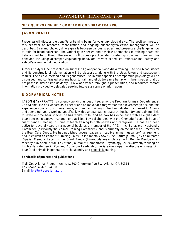#### **"HEY QUIT POKING ME!" OR BEAR BLOOD DRAW TRAINING**

#### **JASON PRATTE**

Presenter will discuss the benefits of training bears for voluntary blood draws. The positive impact of this behavior on research, rehabilitation and ongoing husbandry/collection management will be described. Bear morphology differs greatly between various species, and presents a challenge in how to train for blood collection. The variability in species and possible approaches to training bears this behavior will be outlined. The session will discuss practical step-by-step approaches to training this behavior, including: accompanying/leading behaviors, reward schedules, trainer/animal safety and exhibit/environmental modification.

A focus study will be presented on successful giant panda blood draw training. Use of a blood sleeve and its construction/implementation will be discussed, along with the steps taken and subsequent results. The sleeve method and its generalized use in other species of comparable physiology will be discussed, and contrasted with methods to train and elicit the same behavior in bear species that do not possess similar limb dexterity. Q & A addressed throughout presentation, and resources/contact information provided to delegates seeking future assistance or information.

#### **BIOGRAPHICAL NOTES**

JASON (JAY) PRATTE is currently working as Lead Keeper for the Program Animals Department at Zoo Atlanta. He has worked as a keeper and animal/bear caregiver for over seventeen years, and this experience covers zoos, game farms, and animal training in the film industry. He moved to Atlanta and spent four years working specifically with giant pandas in research, husbandry and training. This rounded out the bear species he has worked with, and he now has experience with all eight extant bear species in captive management facilities. Jay collaborated with the Chengdu Research Base of Giant Panda Breeding in China to teach training to both pandas and caregivers. He has also been active for several years on a national basis as a member of the AAZK, Inc. Behavioral Husbandry Committee (previously the Animal Training Committee), and is currently on the Board of Directors for the Bear Care Group. He has published several papers on captive animal husbandry/management, and is column co-editor of "Training Tales" in the monthly AAZK, Inc. Forum journal. Jay co-authored "Spatial Memory Recall in the Giant Panda (*Ailuropoda melanoleuca*) with Bonnie Perdue *et al*, recently published in Vol. 123 of the Journal of Comparative Psychology, 2009.Currently working on his Masters degree in Zoo and Aquarium Leadership, he is always open to discussions regarding bear (and animals in general) care, husbandry and especially training.

**For details of projects and publications** 

Mail**:** Zoo Atlanta, Program Animals, 800 Cherokee Ave SW, Atlanta, GA 30315 Telephone: 404-788-4788 Email: [jpratte@zooatlanta.org](mailto:jpratte@zooatlanta.org)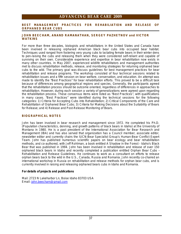#### **BEST MANAGEMENT PRACTICES FOR REHABILIATION AND RELEASE OF ORPHANED BEAR CUBS**

#### **JOHN BEECHAM, ANAND RAMANATHAN, SERGEY PAZHETNOV and VICTOR WATKINS**

For more than three decades, biologists and rehabilitators in the United States and Canada have been involved in releasing orphaned American black bear cubs into occupied bear habitat. Techniques used ranged from fostering very young cubs to lactating female bears in their winter dens to pen-raising the cubs and releasing them when they were considered self-reliant and capable of surviving on their own. Considerable experience and expertise in bear rehabilitation now exists in many other countries. In May 2007, experienced wildlife rehabilitators and management authorities met to discuss rehabilitation methods, release, and monitoring strategies for returning orphaned bear cubs to the wild. The primary goal was discuss guidelines for best management practices for bear rehabilitation and release programs. The workshop consisted of four technical sessions related to rehabilitation issues and a fifth session on bear welfare, conservation, and education. An attempt was made to identify the "Best Practices" for bear rehabilitation efforts. This proved to be a difficult task because of differences among geographical regions and species. Generally, the participants agreed that the rehabilitation process should be outcome oriented, regardless of differences in approaches to rehabilitation. However, during each session a variety of generalizations were agreed upon regarding the rehabilitation process. These consensus items were listed as "Best Practices", with qualifications in many cases. "Best Practices" were identified during the technical sessions for the following categories: 1) Criteria for Accepting Cubs into Rehabilitation; 2) Critical Components of the Care and Rehabilitation of Orphaned Bear Cubs; 3) Criteria for Making Decisions about the Suitability of Bears for Release; and 4) Release and Post-Release Monitoring of Bears.

#### **BIOGRAPHICAL NOTES**

John has been involved in bear research and management since 1972. He completed his Ph.D. (Population characteristics, denning, and growth patterns of black bears in Idaho) at the University of Montana in 1980. He is a past president of the International Association for Bear Research and Management (IBA) and has also served that organization has a Council member, associate editor, newsletter editor and currently chairs the IUCN-Bear Specialist Group's Human-Bear Conflict Expert Team. John has published numerous scientific papers on bear ecology and bear rehabilitation methods, and co-authored, with Jeff Rohlman, a book entitled *A Shadow in the Forest - Idaho's Black Bear* that was published in 1994. John has been involved in rehabilitation and release of over 150 orphaned black bears in Idaho and recently completed a publication entitled *Orphan Bear Cubs – Rehabilitation and Release Guidelines.* He continues to work as a consultant on efforts to release orphan bears back to the wild in the U.S., Canada, Russia and Romania. John recently co-chaired an international workshop in Russia on rehabilitation and release methods for orphan bear cubs, and is currently involved in raising and releasing orphaned bears cubs in Idaho and Romania.

**For details of projects and publications** 

Mail: 2723 N Lakeharbor Ln, Boise Idaho 83703 USA Email: [john.beecham@gmail.com](mailto:john.beecham@gmail.com)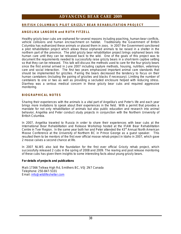#### **BRITISH COLUMBIA'S PILOT GRIZZLY BEAR REHABILITATION PROJECT**

#### **ANGELIKA LANGDEN and RUTH FITZELL**

Healthy grizzly bear cubs are orphaned for several reasons including poaching, human-bear conflicts, vehicle collisions and human encroachment on habitat. Traditionally the Government of British Columbia has euthanized these animals or placed them in zoos. In 2007 the Government sanctioned a pilot rehabilitation project which allows these orphaned animals to be raised in a shelter in the northern part of the province. The pilot grizzly bear rehabilitation project brings orphaned bears into human care until they can be released back to the wild. One of the goals of this project was to document the requirements needed to successfully raise grizzly bears in a short-term captive setting so that they can be released. This talk will discuss the methods used to care for the four grizzly bears since the first animal arrived in June 2007 including capture methods, housing, nutrition, veterinary care and social interaction. The first two years emphasized important animal care standards that should be implemented for grizzlies. Pairing the bears decreased the tendency to focus on their human caretakers (including the pairing of grizzlies and blacks if necessary). Limiting the number of caretakers to one or two as well as providing a secluded enclosure helped with reducing stress. Diarrhea was a serious medical concern in these grizzly bear cubs and required aggressive monitoring.

#### **BIOGRAPHICAL NOTES**

.

Sharing their experiences with the animals is a vital part of Angelika's and Peter's life and each year brings more invitations to speak about their experiences in the field. With a permit that provides a mandate for not only rehabilitation of animals but also public education and research into animal behavior, Angelika and Peter conduct study projects in conjunction with the Northern University of British Columbia.

In 2007, Angelika traveled to Russia in order to share their experiences with bear cubs at the *International Bear Rehabilitation and Release Workshop* hosted at the IFAW Bear Rehabilitation Centre in Tver Region. In the same year both her and Peter attended the *43rd Annual North American Moose Conference* at the University of Northern BC in Prince George as a guest speaker. This resulted them to be mentors of the first ever official moose rehab project in Idaho in 2007, which gave 2 moose calves a second chance at life.

In 2007 NLWS also laid the foundation for the first ever official Grizzly rehab project, which successfully released 2 cubs in the spring of 2008 and 2009. The rearing and post release monitoring of these cubs has given them insights to some interesting facts about young grizzly bears.

**For details of projects and publications** 

Mail**:** 17366 Telkwa High Rd, Smithers BC, V0J 2N7 Canada Telephone: 250-847-5101 Email: [info@wildlifeshelter.com](mailto:info@wildlifeshelter.com)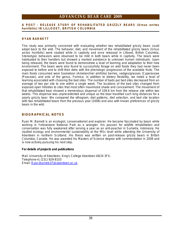#### **A POST - RELEASE STUDY OF REHABILITATED GRIZZLY BEARS (***Ursus arctos horribilis***) IN LILLOOET, BRITISH COLUMBIA**

#### **RYAN BARNETT**

This study was primarily concerned with evaluating whether two rehabilitated grizzly bears could adapt back to the wild. The behavior, diet, and movement of the rehabilitated grizzly bears *(Ursus arctos horribilis)* were studied while in captivity and once released in Lillooet, British Columbia. Stereotypic behaviors were observed to be mild in both bears while in captivity. The bears were habituated to their handlers but showed a marked avoidance to unknown human individuals. Upon being released, the bears were found to demonstrate a level of learning and adaptation to their new environment. The bears were also found to successfully forage on wild foods they had never been exposed to before and to shift their diets with the phenologic progression of the available fruits. The main foods consumed were Saskatoon (*Amelanchier alnifolia*) berries, sedges/grasses (*Cyperaceae* /*Poaceae*), and ants of the genus, *Formica*. In addition to dietary flexibility, we noted a level of learning associated with choosing the bed sites. The number of beds per bed sites decreased from an average of two per site to one within a single week. The locations of the bed sites changed from exposed open hillsides to sites that most often maximized shade and concealment. The movement of that rehabilitated bear showed a tremendous dispersal of 109.6 km from the release site within two weeks. This dispersal was unprecedented and unique as the bear travelled such long distances for a yearly grizzly bear. We compared the ethogram, diet patterns, diet selection, and bed site location with two rehabilitated bears from the previous year (2008) and also with known preferences of grizzly bears in the wild.

#### **BIOGRAPHICAL NOTES**

Ryan M. Barnett is an ecologist, conservationist and explorer. He became fascinated by bears while working in Yellowstone National Park as a wrangler. His passion for wildlife rehabilitation and conservation was fully awakened after serving a year as an anti-poacher in Sumatra, Indonesia. He studied ecology and environmental sustainability at the MSc level while attending the University of Aberdeen in northern Scotland. His thesis was written on post-release grizzly bears in British Columbia, Canada. He was awarded his Masters of Science degree with commendation in 2009 and is now actively pursuing his next step.

**For details of projects and publications** 

Mail: University of Aberdeen, King's College Aberdeen AB24 3FX, Telephone+1 (231) 929-8103 Email: [Ryan.Barnett.07@aberdeen.ac.uk](mailto:Ryan.Barnett.07@aberdeen.ac.uk)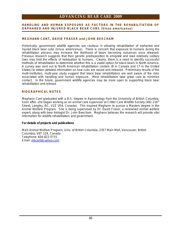#### **HANDLING AND HUMAN EXPOSURE AS FACTORS IN THE REHABILITATION OF ORPHANED AND INJURED BLACK BEAR CUBS (***Ursus americanus***)**

#### **MEGHANN CANT, DAVID FRASER and JOHN BEECHAM**

Historically, government wildlife agencies are cautious in allowing rehabilitation of orphaned and injured black bear cubs (*Ursus americanus*). There is concern that exposure to humans during the rehabilitation process may increase the likelihood of bears becoming nuisances once released. Previous research suggests that their genetic predisposition to emigrate and lead relatively solitary lives may limit the effects of habituation to humans. Clearly, there is a need to identify successful methods of rehabilitation to determine whether this is a viable option for black bears in North America. A survey was sent out to North American rehabilitation centers (8 in Canada and 17 in the United States) to obtain detailed information on how cubs are raised and released. Preliminary results of the multi-institution, multi-year study suggest that black bear rehabilitators are well aware of the risks associated with handling and human exposure. Most rehabilitators take great care to minimize contact. In the future, government wildlife agencies may be more open to supporting black bear rehabilitation and release.

#### **BIOGRAPHICAL NOTES**

Meghann Cant graduated with a B.S. degree in Agroecology from the University of British Columbia. Soon after, she began working as an animal care supervisor at Critter Care Wildlife Society (481 216<sup>th</sup>) Street, Langley, BC, V2Z 1R6, Canada). This inspired Meghann to pursue a Masters degree in the Animal Welfare Program. She is being supervised by Dr. David Fraser, a renowned animal welfare expert, along with bear biologist Dr. John Beecham. Meghann believes the research will provide vital information for wildlife rehabilitators and government.

**For details of projects and publications** 

Mail**:** Animal Welfare Program, Univ. of British Columbia, 2357 Main Mall, Vancouver, British Columbia, V6T 1Z4, Canada Telephone: 604-822-5715 Email: [mbcant@yahoo.com](mailto:mbcant@yahoo.com)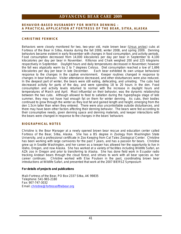#### **BEHAVIOR-BASED HUSBANDRY FOR WINTER DENNING – A PRACTICAL APPLICATION AT FORTRESS OF THE BEAR, SITKA, ALASKA**

#### **CHRISTINE FENWICK**

Behaviors were closely monitored for two, two-year old, male brown bear *(Ursus arctos)* cubs at Fortress of the Bear in Sitka, Alaska during the fall 2008, winter 2008, and spring 2009. Denning behaviors became evident in early November with changes in food consumption, and activity periods. Food consumption decreased from 14,000 kilocalories per day per bear in September to 4,100 kilocalories per day per bear in November. Killisnoo and Chaik weighed 200 and 225 kilograms respectively in September. Daylight hours and daily temperatures decreased in November; however the fall was atypically warm by 2 to 7 degrees Celsius. Diet consumption reached a low of 1,696 kilocalories per day per bear in late December. Each bear exhibited its own unique behavioral response to the changes in the captive environment. Keeper routines changed in response to changes in bear behavior. Visitor attendance decreased, and other disturbances were also reduced. In the deepest part of winter, the bears were still eating, defecating, and urinating. The cubs had decreased activity for parts of the day, and were spending 18 to 20 hours in the den. Food consumption and activity levels returned to normal with the increase in daylight hours and temperatures of March and April. Most influential on their behavior, was the dynamic relationship between the two cubs. Although allowed to feed to satiation during the hyperphagia stage of late summer, they may not have had enough fat on them for winter denning. As cubs, their bodies continued to grow through the winter as they lost fat and gained length and height, emerging from the den 1.5cm taller than when they entered. There were also uncontrollable outside disturbances, and there may have been other factors affecting their denning behavior. The bears were fed according to their consumptive needs, given denning space and denning materials, and keeper interactions with the bears were changed in response to the changes in the bears' behaviors

#### **BIOGRAPHICAL NOTES**

Christine is the Bear Manager at a newly opened brown bear rescue and education center called Fortress of the Bear, Sitka, Alaska. She has a BS degree in Zoology from Washington State University, and a professional certificate in Zoo Keeping from Cat Tales Zoological Center. Christine has been working with large carnivores for the past 7 years, and has a passion for bears. Christine grew up in Seattle Washington, and her career as a keeper has allowed her the opportunity to live in Idaho, Oregon, and now Alaska. She has worked at a variety of facilities including Wildlife Safari, an AZA zoo in Oregon and prior to transferring to Alaska. She has done field work in Ecuador radio tracking Andean bears through the cloud forest, and strives to work with all bear species as her career continues. Christine worked with Else Poulsen in the past, coordinating brown bear introductions at Wildlife Safari, and presented that work at the 2007 BIERSZ Symposium

**For details of projects and publications** 

Mail**:** Fortress of the Bear, PO Box 2337 Sitka, AK 99835 Telephone: 541-965-2180 Fax: 907-747-3032 Email: [christine@fortressofthebear.org](mailto:christine@fortressofthebear.org)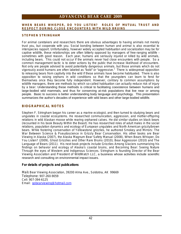#### **WHEN BEARS WHISPER, DO YOU LISTEN? ROLES OF MUTUAL TRUST AND RESPECT DURING CLOSE ENCOUNTERS WITH WILD BRUINS**

#### **STEPHEN STRINGHAM**

For animal caretakers and researchers there are obvious advantages to having animals not merely trust you, but cooperate with you. Social bonding between human and animal is also essential to interspecies rapport. Unfortunately, however widely accepted habituation and socialization may be for captive wildlife, these relationships are often bitterly opposed by managers of free-ranging wildlife – sometimes with good reason. Each year, humans are seriously injured or killed by wild animals, including bears. This could not occur if the animals never had close encounters with people. So a common management tactic is to deter actions by the public that increase likelihood of encounters. Not only are people advised to avoid potentially dangerous animals, but those animals which do not vigorously avoid humans are often labeled as "bold" or "aggressive." There is widespread opposition to releasing bears from captivity into the wild if these animals have become habituated. There is also opposition to raising orphans in wild conditions so that the youngsters can learn to fend for themselves once they become fully independent. However, contrary to common assumptions by wildlife managers, there *are* methods by which so-called habituation can actually reduce risk of injury by a bear. Understanding these methods is critical to facilitating coexistence between humans and large-bodied wild mammals, and thus for conserving at-risk populations that live near or among people. Basic to success is better understanding body language and psychology. This presentation summarizes the author's decades of experience with wild bears and other large-bodied wildlife.

#### **BIOGRAPHICAL NOTES**

Stephen F. Stringham began his career as a marine ecologist, and then turned to studying bears and ungulates in coastal ecosystems. He researched communication, aggression, and mother-offspring relations in wild Alaskan moose while rearing orphaned calves. He did similar studies on black bears (recounted in his book *Beauty Within the Beast*). He has researched roles of adult males in the social relations, population dynamics and ecology of European ungulates and North American grizzly/brown bears. While fostering conservation of Yellowstone grizzlies, he authored *Smokey and Mirrors: The War Between Science & Pseudoscience in Grizzly Bear Conservation*. His other books are *Bear Viewing in Alaska* (2007), the *Alaska Magnum Bear Safety Manual* (2008), *When Bears Whisper, Do You Listen?* (2009), *Ghost Grizzlies and Other Rare Bruins* (2010*)*; *Bear Aggression* (2010) and *The Language of Bears* (2011). His next book projects include *Grizzlies Among Glaciers* summarizing his findings on behavior and ecology of Alaska's coastal bruins, and *Becoming Bear*: *Seeing Nature Through the eyes of Western and Indigenous Sciences*. Stringham is founding Director of the Bear Viewing Association and President of WildWatch LLC, a business whose activities include scientific research and consulting on environmental impact issues.

**For details of projects and publications** 

Mail**:** Bear Viewing Association, 39200 Alma Ave., Soldotna, AK 99669 Telephone: 907-260-9059 Cell: 907-394-6125 Email: [gobearviewing@hotmail.com](mailto:gobearviewing@hotmail.com)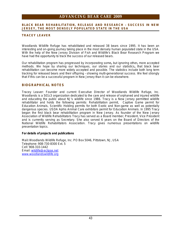#### **BLACK BEAR REHABILITATION, RELEASE AND RESEARCH – SUCCESS IN NEW JERSEY, THE MOST DENSELY POPULATED STATE IN THE USA**

#### **TRACEY LEAVER**

Woodlands Wildlife Refuge has rehabilitated and released 38 bears since 1995. It has been an interesting and on-going journey taking place in the most densely human populated state in the USA. With the help of the New Jersey Division of Fish and Wildlife's Black Bear Research Program we have had the opportunity to track the success of our released bears.

Our rehabilitation program has progressed by incorporating some**,** but ignoring other**,** more accepted methods. We hope by sharing our techniques, our stories and our statistics**,** that black bear rehabilitation can become more widely accepted and possible. The statistics include both long term tracking for released bears and their offspring – showing multi-generational success. We feel strongly that if this can be a successful program in New Jersey than it can be elsewhere.

#### **BIOGRAPHICAL NOTES**

Tracey Leaver: Founder and current Executive Director of Woodlands Wildlife Refuge, Inc. Woodlands is a 501c3 organization dedicated to the care and release of orphaned and injured wildlife and educating the public about NJ's wildlife since 1986. Tracy is a New Jersey permitted wildlife rehabilitator and holds the following permits: Rehabilitation permit, Captive Game permit for Education Animals, Scientific Holding permits for both Exotic and Non-game as well as potentially dangerous species. USDA Aphis Animal Care exhibitors permit for Education Animals. In 1995 Tracy began the first black bear rehabilitation program in New Jersey. As founder of the New Jersey Association of Wildlife Rehabilitators Tracy has served as a Board member, President, Vice President and is currently serving as Secretary. She also served 6 years on the Board of Directors of the National Wildlife Rehabilitators Association. Tracy gives numerous presentations on wildlife presentation topics.

**For details of projects and publications** 

Mail**:** Woodlands Wildlife Refuge, Inc. PO Box 5046, Pittstown, NJ, USA Telephone: 908-730-8300 Ext. 5 Cell: 908-310-1442 Email: [wildlife@eclipse.net](mailto:wildlife@eclipse.net) [www.woodlandswildlife.org](http://www.woodlandswildlife.org)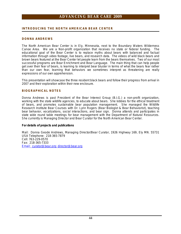#### **INTRODUCING THE NORTH AMERICAN BEAR CENTER**

#### **DONNA ANDREWS**

The North American Bear Center is in Ely, Minnesota, next to the Boundary Waters Wilderness Canoe Area. We are a Non-profit organization that receives no state or federal funding. The educational goal of the Bear Center is to replace myths about bears with balanced and factual information through video footage, live bears, and research data. The videos of wild black bears and brown bears featured at the Bear Center let people learn from the bears themselves. Two of our most successful programs are Bear Enrichment and Bear Language. The main thing that can help people get over their fear of bears, is learning to interpret bear bluster in terms of what the bears fear rather than our own fear, learning that behaviors we sometimes interpret as threatening are really expressions of our own apprehension.

This presentation will showcase the three resident black bears and follow their progress from arrival in 2007 and their exploration within their new enclosure.

#### **BIOGRAPHICAL NOTES**

Donna Andrews is past President of the Bear Interest Group (B.I.G.) a non-profit organization, working with the state wildlife agencies, to educate about bears. She lobbies for the ethical treatment of bears, and promotes sustainable bear population management. She managed the Wildlife Research Institute Bear Courses with Dr. Lynn Rogers (Bear Biologist & Bear Behaviorist), teaching bear behavior, vocalizations, social interactions, and bear sign. Donna attends and participates in state wide round table meetings for bear management with the Department of Natural Resources. She currently is Managing Director and Bear Curator for the North American Bear Center.

**For details of projects and publications** 

Mail: Donna Geode Andrews, Managing Director/Bear Curator, 1926 Highway 169, Ely MN. 55731 USA Telephone: 218-365-7879 Cell: 763-229-0570 Fax: 218-365-7333 Email: [curator@bear.org;](mailto:curator@bear.org) [director@bear.org](mailto:director@bear.org)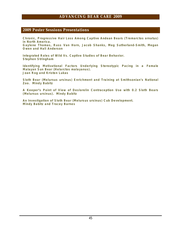#### **2009 Poster Sessions Presentations**

**Chronic, Progressive Hair Loss Among Captive Andean Bears (***Tremarctos ornatus***) in North America.** 

**Gaylene Thomas, Russ Van Horn, Jacob Shanks, Meg Sutherland-Smith, Megan Owen and Hali Anderson** 

**Integrated Roles of Wild Vs. Captive Studies of Bear Behavior. Stephen Stringham** 

**Identifying Motivational Factors Underlying Stereotypic Pacing in a Female Malayan Sun Bear (***Helarctos malayanus***). Joan Rog and Kristen Lukas** 

**Sloth Bear (***Melursus ursinus***) Enrichment and Training at Smithsonian's National Zoo. Mindy Babitz** 

**A Keeper's Point of View of Deslorelin Contraception Use with 0.2 Sloth Bears (***Melursus ursinus***). Mindy Babitz** 

**An Investigation of Sloth Bear (***Melursus ursinus***) Cub Development. Mindy Babitz and Tracey Barnes**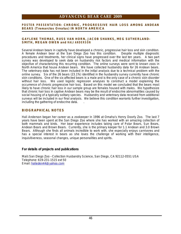#### **POSTE R PRESEN TA TION: CHRONIC, PROGRESSIVE HAIR LOSS AMONG ANDEAN BEARS (***Tremarctos Ornatus***) IN NORTH AMERICA**

#### **GAYLENE THOMAS, RUSS VAN HORN, JACOB SHANKS, MEG SUTHERLAND-** $SMITH$ , MEGAN OWEN and HALI ANDERSON

Several Andean bears in captivity have developed a chronic, progressive hair loss and skin condition. A female Andean bear at the San Diego Zoo has this condition. Despite multiple diagnostic procedures and treatments, her clinical signs have progressed over the last ten years. A two part survey was developed to seek data on husbandry risk factors and medical information with the objective of characterizing this recurring condition. The online surveys were sent to known zoos in North America that house Andean bears. We have collected husbandry data for 26 Andean bears. The veterinary data has not been included in the initial analysis due to a technical problem with the online survey. Six of the 26 bears (23.1%) identified in the husbandry survey currently have chronic skin conditions. One of the six affected bears is a male and is the only case of a chronic skin disorder without hair loss. We used logistic regression analyses to construct a model explaining the occurrence of chronic progressive hair loss. Based on this model we concluded that the bears most likely to have chronic hair loss in our sample group are females housed with males. We hypothesize that chronic hair loss in captive Andean bears may be the result of endocrine abnormalities caused by social housing of a typically solitary species. Husbandry and veterinary data received from additional surveys will be included in our final analysis. We believe this condition warrants further investigation, including the gathering of endocrine data. .

#### **BIOGRAPHICAL NOTES**

Hali Anderson began her career as a zookeeper in 1996 at Omaha's Henry Doorly Zoo. The last 7 years have been spent at the San Diego Zoo where she has worked with an amazing collection of both mammals and birds. Her bear experience includes taking care of Polar Bears, Sun Bears, Andean Bears and Brown Bears. Currently, she is the primary keeper for 1.1 Andean and 3.0 Brown Bears. Although she finds all animals incredible to work with, she especially enjoys carnivores and has a special interest in bears as she loves the challenge of working with their intelligence, inquisitiveness, seasonal changes, unique personalities and spirits.

**For details of projects and publications** 

Mail**:** San Diego Zoo – Collection Husbandry Science, San Diego, CA 92112-0551 USA Telephone: 619-231-1515 ext 50 Email: [halieden44@yahoo.com](mailto:halieden44@yahoo.com)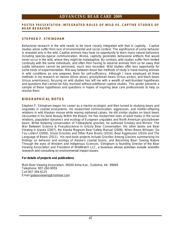#### **POSTE R PRES E N TATION: INTEGRATED ROLES OF WILD VS. CAPTIVE STUDIES OF BEAR BEHAVIOR**

#### **STEPHEN F. STRINGHAM**

Behavioral research in the wild needs to be more closely integrated with that in captivity. Captive studies alone suffer from lack of environmental and social context. The significance of some behavior is revealed only in the wild. Captive animals may have no opportunity to learn many natural behaviors including species-typical communication. Worse, captivity generates behavioral artifacts that would never occur in the wild, where they might be maladaptive. By contrast, wild studies suffer from limited continuity with the same individuals, and often from having to observe animals from so far away that subtle behaviors cannot be perceived, much less recorded. Wild studies offer less opportunity for some kinds of experimentation. Mid-way between those two methods of study is hand-rearing animals in wild conditions as one prepares them for self-sufficiency. Although I have employed all three methods in my research on moose (*Alces alces*), grizzly/brown bears (*Ursus arctos*), and black bears (*Ursus americanus*), focusing on wild studies has left me with a wealth of well-founded hypotheses and questions that cannot be fully resolved without additional captive studies. This poster presents a sample of these hypotheses and questions in hopes of inspiring bear care professionals to help us resolve them.

#### **BIOGRAPHICAL NOTES**

Stephen F. Stringham began his career as a marine ecologist, and then turned to studying bears and ungulates in coastal ecosystems. He researched communication, aggression, and mother-offspring relations in wild Alaskan moose while rearing orphaned calves. He did similar studies on black bears (recounted in his book *Beauty Within the Beast*). He has researched roles of adult males in the social relations, population dynamics and ecology of European ungulates and North American grizzly/brown bears. While fostering conservation of Yellowstone grizzlies, he authored *Smokey and Mirrors: The War Between Science & Pseudoscience in Grizzly Bear Conservation*. His other books are *Bear Viewing in Alaska* (2007), the *Alaska Magnum Bear Safety Manual* (2008), *When Bears Whisper, Do You Listen?* (2009), *Ghost Grizzlies and Other Rare Bruins* (2010*)*; *Bear Aggression* (2010) and *The Language of Bears* (2011). His next book projects include *Grizzlies Among Glaciers* summarizing his findings on behavior and ecology of Alaska's coastal bruins, and *Becoming Bear*: *Seeing Nature Through the eyes of Western and Indigenous Sciences*. Stringham is founding Director of the Bear Viewing Association and President of WildWatch LLC, a business whose activities include scientific research and consulting on environmental impact issues.

**For details of projects and publications** 

Mail**:** Bear Viewing Association, 39200 Alma Ave., Soldotna, AK 99669 Telephone: 907-260-9059 Cell 907-394-6125 Email [gobearviewing@hotmail.com](mailto:gobearviewing@hotmail.com)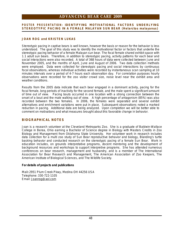#### **POSTE R PRES E N TATION: IDENTIFYING MOTIVATIONAL FACTORS UNDERLYING STEREOTYPIC PACING IN A FEMALE MALAYAN SUN BEAR (***Helarctos malayanus***)**

#### **JOAN ROG and KRISTEN LUKAS**

Stereotypic pacing in captive bears is well known, however the basis or reason for the behavior is less understood. The goal of this study was to identify the motivational factor or factors that underlie the stereotypic pacing behavior of a female Malayan sun bear. The focal female shared exhibit space with 1.1 adult sun bears. Therefore, in addition to stereotypic pacing, activity patterns for each bear and social interactions were also recorded. A total of 368 hours of data were collected between June and November 2005, and the months of April, June and August of 2006.Two data collection methods were employed. Data were collected for stereotypic pacing and social interactions by continuous focal observations, whereas individual activities were recorded by instantaneous scan sampling at 10 minutes intervals over a period of 4-7 hours each observation day. For correlation purposes hourly observations were recorded for the zoo visitor crowd size, noise level near the exhibit area and weather conditions.

Results from the 2005 data indicate that each bear engaged in a dominant activity, pacing for the focal female, long periods of inactivity for the second female, and the male spent a significant amount of time out of view. Pacing bouts occurred in one location with a strong connection between the onset of a bout and the male walking out of view. A high percentage of antagonism (85%) was also recorded between the two females. In 2006, the females were separated and several exhibit alternatives and enrichment variations were put in place. Subsequent observations noted a marked reduction in pacing. Additional data are being analyzed. Upon completion we will be better able to comment on motivations and what measures brought about this favorable change in behavior.

#### **BIOGRAPHICAL NOTES**

Joan is a research volunteer at the Cleveland Metroparks Zoo. She is a graduate of Baldwin-Wallace College in Berea, Ohio earning a Bachelor of Science degree in Biology with Masters Credits in Zoo Biology and Management from Oklahoma State University. Her volunteer work in research includes data collection for a multi zoo study of Sun Bear reproductive behavior and biology, Blanding's turtle basking behavior and conducted research on the stereotypic pacing of a female Sun Bear. Work in education includes, on grounds interpretative programs, docent mentoring and the development of background resources and workshops to support interpretive programs. She has attended numerous conferences on bear research, management and husbandry, and is a member of The International Association for Bear Research and Management, The American Association of Zoo Keepers, The American Institute of Biological Sciences, and The Wildlife Society.

**For details of projects and publications** 

Mail**:** 2951 Plum Creek Pkwy, Medina OH 44256 USA Telephone: 330-722-1105 Email: [Joanrog@aol.com](mailto:Joanrog@aol.com)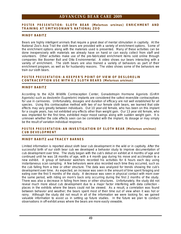#### **POSTE R PRESEN TA TION: SLOTH BEAR (***Melursus ursinus***) ENRICHMENT AND TRAINING AT SMITHSONIAN'S NATIONAL ZOO**

#### **MINDY BABITZ**

Bears are highly intelligent animals that require a great deal of mental stimulation in captivity. At the National Zoo's Asia Trail the sloth bears are provided with a variety of enrichment options. Some of the enrichment options along with the materials used is presented. Many of these activities can be done inexpensively with materials we already have on hand or can easily collect from staff and volunteers. Other activities make use of the pre-fabricated enrichment items sold online through companies like Boomer Ball and Otto Environmental. A video shows our bears interacting with a variety of enrichment. The sloth bears are also trained a variety of behaviors as part of their enrichment program, as well as for husbandry reasons. The video shows some of the behaviors we train our sloth bears.

#### **POSTE R PRES E N TATION: A KEEPER'S POINT OF VIEW OF DESLORELIN CONTRACEPTION USE WITH 0.2 SLOTH BEARS (***Melursus ursinus***)**

#### **MINDY BABITZ**

According to the AZA Wildlife Contraception Center, Gonadotropin Hormone Agonists (GnRH Agonists) such as deslorelin (Suprelorin) implants are considered the safest reversible contraceptives for use in carnivores. Unfortunately, dosages and duration of efficacy are not well established for all species. Using this contraceptive method with two of our female sloth bears, we learned that side effects may vary greatly between individuals. Out 10 year-old female, who has been on this implant for a couple years, has not exhibited any effects other than weight gain. Our 13 year old female, who was implanted for the first time, exhibited major mood swings along with sudden weight gain. It is unknown whether the side effects seen can be correlated with the implant, its dosage or may simply be the result of variation individual response.

#### **POSTE R PRES E N TATION: AN INVESTIGATION OF SLOTH BEAR (***Melursus ursinus***) CUB DEVELOPMENT**

#### **MINDY BABITZ and TRACEY BARNES**

Limited information is reported about sloth bear cub development in the wild or in captivity. After the successful birth of our sloth bear cub we developed a behavior study to improve documentation of cub development over time. The study began with the cub's debut on exhibit at 4 months of age and continued until he was 18 months of age, with a 4 month gap during his move and acclimation to a new exhibit. A group of behavior watchers recorded his activities for 6 hours each day using instantaneous scan sampling. A few behaviors were also recorded each time they occurred, such as the cub falling from a tree or other structure. The data was analyzed for trends showing the cub's development over time. As expected, an increase was seen in the amount of time spent foraging and eating over the first 5 months of the study. A decrease was seen in physical contact with mom over the same period, with riding on mom's back only occurring during the first 2 months of the study. There was also a decrease in falling from trees or other structures. Unfortunately, the study did not reveal much more about cub development due to a major factor interfering with data collection places in the exhibits where the bears could not be viewed. As a result, a correlation was found between behavior and weather; the bears spent most of their time out of view when it was hot or rainy. Although the study did not result in all of the information we were looking for, we gained valuable information to assist us in setting up future studies. In the future we plan to conduct observations in off-exhibit areas where the bears are more easily viewable.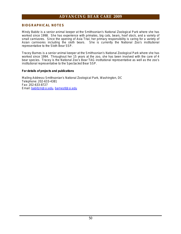#### **BIOGRAPHICAL NOTES**

Mindy Babitz is a senior animal keeper at the Smithsonian's National Zoological Park where she has worked since 1998. She has experience with primates, big cats, bears, hoof stock, and a variety of small carnivores. Since the opening of Asia Trial, her primary responsibility is caring for a variety of Asian carnivores including the sloth bears. She is currently the National Zoo's institutional representative to the Sloth Bear SSP.

Tracey Barnes is a senior animal keeper at the Smithsonian's National Zoological Park where she has worked since 1994. Throughout her 15 years at the zoo, she has been involved with the care of 4 bear species. Tracey is the National Zoo's Bear TAG institutional representative as well as the zoo's institutional representative to the Spectacled Bear SSP.

**For details of projects and publications** 

Mailing Address**:** Smithsonian's National Zoological Park, Washington, DC Telephone: 202-633-4381 Fax: 202-633-8727 Email: [babitzm@si.edu](mailto:babitzm@si.edu), [barnestl@si.edu](mailto:barnestl@si.edu)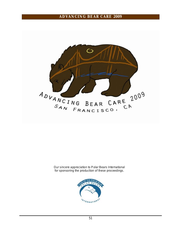

Our sincere appreciation to Polar Bears International for sponsoring the production of these proceedings.

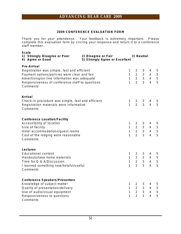#### **2009 CONFERENCE EVALUATION FORM**

Thank you for your attendance. Your feedback is extremely important. Please complete this evaluation form by circling your response and return it to a conference staff member.

| Scale<br>1) Strongly Disagree or Poor<br>4) Agree or Good                                                                                                                                                                 | 2) Disagree or Fair<br>5) Strongly Agree or Excellent |                                                   | 3) Neutral                                                        |                                                       |                                                         |                                            |
|---------------------------------------------------------------------------------------------------------------------------------------------------------------------------------------------------------------------------|-------------------------------------------------------|---------------------------------------------------|-------------------------------------------------------------------|-------------------------------------------------------|---------------------------------------------------------|--------------------------------------------|
| Pre-Arrival<br>Registration was simple, fast and efficient<br>Payment options/policies were clear and fair<br>Advertising/on-line information was adequate<br>Responsiveness of conference staff to questions<br>Comments |                                                       | 1<br>1<br>$\mathbf{1}$<br>$\mathbf{1}$            | $\overline{2}$<br>$\overline{2}$<br>$2^{\circ}$<br>$\overline{2}$ | 3<br>$\mathfrak{Z}$<br>$\mathbf{3}$<br>$\overline{3}$ | 4<br>4<br>4<br>4                                        | 5<br>5<br>$\overline{5}$<br>5              |
| Arrival<br>Check-in procedure was simple, fast and efficient<br>Registration materials were informative<br>Comments                                                                                                       |                                                       | 1<br>$\mathbf{1}$                                 | $\overline{2}$<br>$\overline{2}$                                  | 3<br>3                                                | 4<br>$\overline{4}$                                     | 5<br>5                                     |
| Conference Location/Facility<br>Accessibility of location<br>Size of facility<br>Hotel accommodations/guest rooms<br>Cost of the lodging were reasonable<br>Comments                                                      |                                                       | 1<br>$\mathbf{1}$<br>$\mathbf{1}$<br>$\mathbf{1}$ | $\overline{2}$<br>$\overline{2}$<br>$2^{\circ}$<br>$\overline{2}$ | 3<br>3<br>$\overline{3}$<br>3                         | 4<br>4<br>$\overline{4}$<br>4                           | 5<br>$\overline{5}$<br>5<br>5              |
| Lectures<br><b>Educational content</b><br>Handouts/take home materials<br>Time for Q & A/Discussion<br>I learned something new/helpful/useful<br>Comments                                                                 |                                                       | $\mathbf{1}$<br>$\mathbf{1}$<br>$\mathbf{1}$<br>1 | $\overline{2}$<br>$2^{\circ}$<br>$\overline{2}$<br>$\overline{2}$ | 3<br>3<br>$\overline{3}$<br>3                         | $\overline{4}$<br>$\overline{4}$<br>$\overline{4}$<br>4 | 5<br>$\overline{5}$<br>$\overline{5}$<br>5 |
| <b>Conference Speakers/Presenters</b><br>Knowledge of subject matter<br>Quality of presentation/delivery<br>Use of audio/visual equipment<br>Responsiveness to questions<br>Comments                                      |                                                       | 1<br>$\mathbf{1}$<br>$\mathbf{1}$<br>1            | $\overline{2}$<br>$2^{\circ}$<br>$2^{\circ}$<br>$\overline{2}$    | 3<br>3<br>$\mathfrak{Z}$<br>3                         | 4<br>$\overline{4}$<br>$\overline{4}$<br>$\overline{4}$ | 5<br>$\overline{5}$<br>$\sqrt{5}$<br>5     |